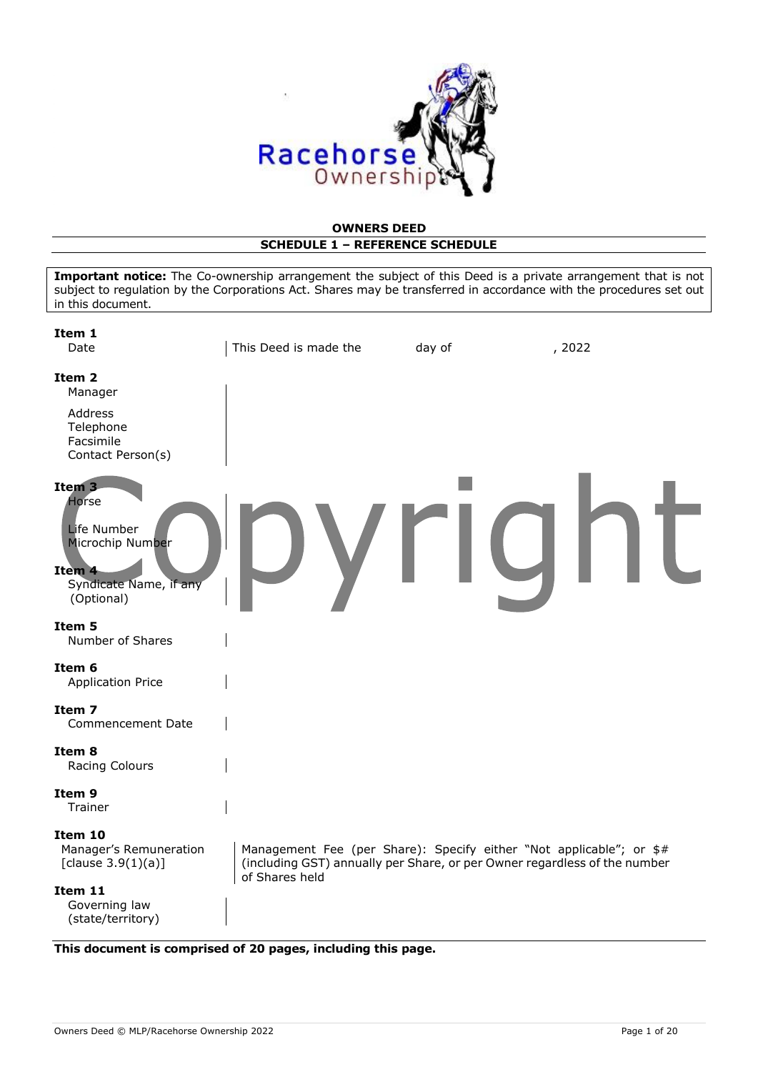

#### **OWNERS DEED SCHEDULE 1 – REFERENCE SCHEDULE**

| subject to regulation by the Corporations Act. Shares may be transferred in accordance with the procedures set out<br>in this document. | Important notice: The Co-ownership arrangement the subject of this Deed is a private arrangement that is not |                                                                                                                                                  |        |
|-----------------------------------------------------------------------------------------------------------------------------------------|--------------------------------------------------------------------------------------------------------------|--------------------------------------------------------------------------------------------------------------------------------------------------|--------|
| Item 1<br>Date                                                                                                                          | This Deed is made the                                                                                        | day of                                                                                                                                           | , 2022 |
| Item 2<br>Manager                                                                                                                       |                                                                                                              |                                                                                                                                                  |        |
| Address<br>Telephone<br>Facsimile<br>Contact Person(s)                                                                                  |                                                                                                              |                                                                                                                                                  |        |
| Item <sub>3</sub><br>Horse<br>Life Number<br>Microchip Number<br>Item 4<br>Syndicate Name, if any<br>(Optional)                         |                                                                                                              |                                                                                                                                                  |        |
| Item 5<br>Number of Shares                                                                                                              |                                                                                                              |                                                                                                                                                  |        |
| Item 6<br><b>Application Price</b>                                                                                                      |                                                                                                              |                                                                                                                                                  |        |
| Item 7<br>Commencement Date                                                                                                             |                                                                                                              |                                                                                                                                                  |        |
| Item 8<br>Racing Colours                                                                                                                |                                                                                                              |                                                                                                                                                  |        |
| Item 9<br><b>Trainer</b>                                                                                                                |                                                                                                              |                                                                                                                                                  |        |
| Item 10<br>Manager's Remuneration<br>[clause $3.9(1)(a)$ ]                                                                              | of Shares held                                                                                               | Management Fee (per Share): Specify either "Not applicable"; or \$#<br>(including GST) annually per Share, or per Owner regardless of the number |        |
| Item 11<br>Governing law<br>(state/territory)                                                                                           |                                                                                                              |                                                                                                                                                  |        |

**This document is comprised of 20 pages, including this page.**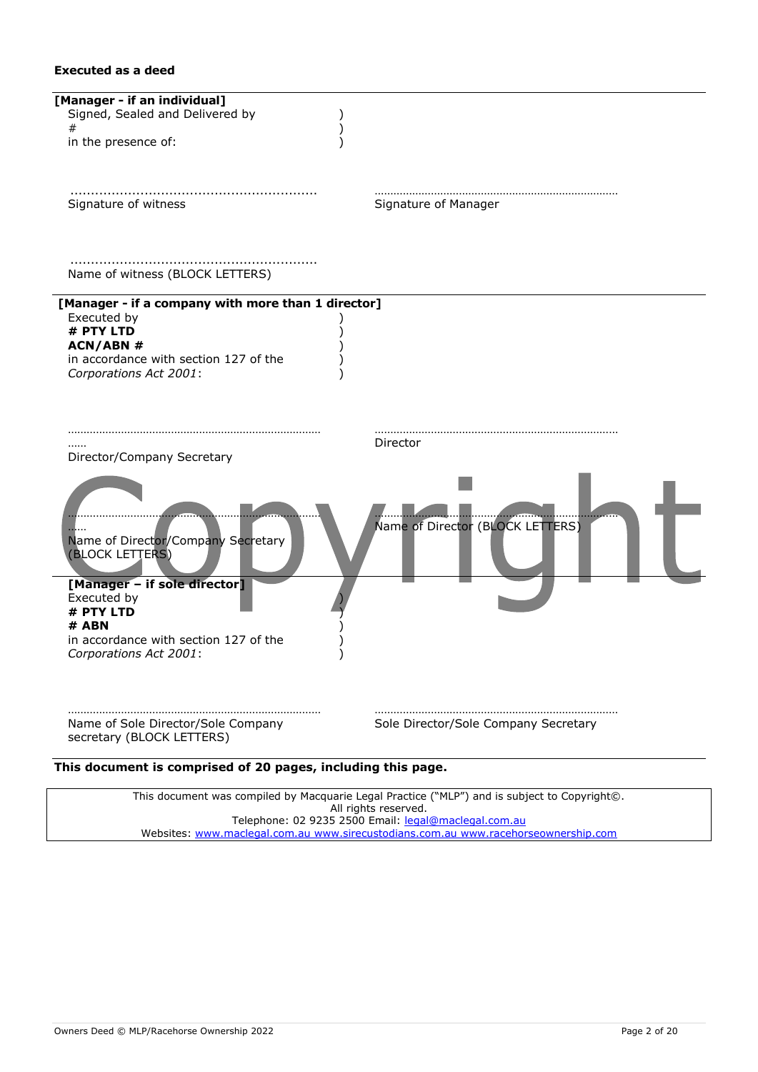### **Executed as a deed**

| [Manager - if an individual]<br>Signed, Sealed and Delivered by<br>#<br>in the presence of:                                                                          |                                      |
|----------------------------------------------------------------------------------------------------------------------------------------------------------------------|--------------------------------------|
| Signature of witness                                                                                                                                                 | Signature of Manager                 |
| Name of witness (BLOCK LETTERS)                                                                                                                                      |                                      |
| [Manager - if a company with more than 1 director]<br>Executed by<br># PTY LTD<br><b>ACN/ABN#</b><br>in accordance with section 127 of the<br>Corporations Act 2001: |                                      |
| Director/Company Secretary                                                                                                                                           | Director                             |
| Name of Director/Company Secretary<br>(BLOCK LETTERS)                                                                                                                | Name of Director (BLOCK LETTERS)     |
| [Manager - if sole director]<br>Executed by<br># PTY LTD<br># ABN<br>in accordance with section 127 of the                                                           |                                      |
| Corporations Act 2001:<br>Name of Sole Director/Sole Company<br>secretary (BLOCK LETTERS)                                                                            | Sole Director/Sole Company Secretary |
| This document is comprised of 20 pages, including this nag                                                                                                           |                                      |

**This document is comprised of 20 pages, including this page.**

This document was compiled by Macquarie Legal Practice ("MLP") and is subject to Copyright©. All rights reserved. Telephone: 02 9235 2500 Email: <u>legal@maclegal.com.au</u> Websites: [www.maclegal.com.au](http://www.maclegal.com.au/) [www.sirecustodians.com.au](http://www.sirecustodians.com.au/) [www.racehorseownership.com](http://www.racehorseownership.com/)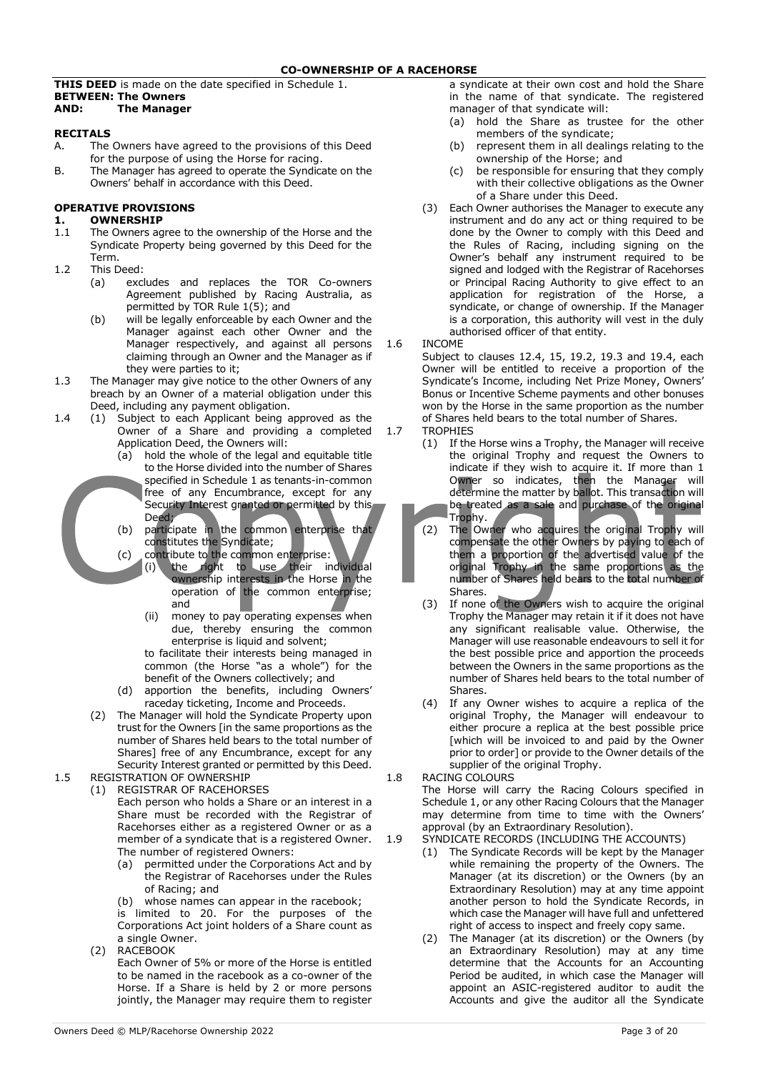**THIS DEED** is made on the date specified in Schedule 1. **BETWEEN: The Owners AND: The Manager**

## **RECITALS**<br>A. The

- The Owners have agreed to the provisions of this Deed for the purpose of using the Horse for racing.
- B. The Manager has agreed to operate the Syndicate on the Owners' behalf in accordance with this Deed.

#### **OPERATIVE PROVISIONS**

## **1. OWNERSHIP**<br>1.1 The Owners ac

- The Owners agree to the ownership of the Horse and the Syndicate Property being governed by this Deed for the Term.
- 1.2 This Deed:
	- (a) excludes and replaces the TOR Co-owners Agreement published by Racing Australia, as permitted by TOR Rule 1(5); and
	- (b) will be legally enforceable by each Owner and the Manager against each other Owner and the Manager respectively, and against all persons claiming through an Owner and the Manager as if they were parties to it;
- 1.3 The Manager may give notice to the other Owners of any breach by an Owner of a material obligation under this Deed, including any payment obligation.
- 1.4 (1) Subject to each Applicant being approved as the Owner of a Share and providing a completed Application Deed, the Owners will:
	- (a) hold the whole of the legal and equitable title to the Horse divided into the number of Shares specified in Schedule 1 as tenants-in-common free of any Encumbrance, except for any Security Interest granted or permitted by this Deed;
	- (b) participate in the common enterprise that constitutes the Syndicate;
	- (c) contribute to the common enterprise: (i) the right to use their individual ownership interests in the Horse in the operation of the common enterprise; and
		- (ii) money to pay operating expenses when due, thereby ensuring the common enterprise is liquid and solvent;

to facilitate their interests being managed in common (the Horse "as a whole") for the benefit of the Owners collectively; and

- (d) apportion the benefits, including Owners' raceday ticketing, Income and Proceeds.
- (2) The Manager will hold the Syndicate Property upon trust for the Owners [in the same proportions as the number of Shares held bears to the total number of Shares] free of any Encumbrance, except for any Security Interest granted or permitted by this Deed.

1.5 REGISTRATION OF OWNERSHIP (1) REGISTRAR OF RACEHORSES

Each person who holds a Share or an interest in a Share must be recorded with the Registrar of Racehorses either as a registered Owner or as a member of a syndicate that is a registered Owner. The number of registered Owners:

(a) permitted under the Corporations Act and by the Registrar of Racehorses under the Rules of Racing; and

(b) whose names can appear in the racebook; is limited to 20. For the purposes of the Corporations Act joint holders of a Share count as a single Owner.

(2) RACEBOOK Each Owner of 5% or more of the Horse is entitled to be named in the racebook as a co-owner of the Horse. If a Share is held by 2 or more persons jointly, the Manager may require them to register

a syndicate at their own cost and hold the Share in the name of that syndicate. The registered manager of that syndicate will:

- (a) hold the Share as trustee for the other members of the syndicate;
- (b) represent them in all dealings relating to the ownership of the Horse; and
- (c) be responsible for ensuring that they comply with their collective obligations as the Owner of a Share under this Deed.
- (3) Each Owner authorises the Manager to execute any instrument and do any act or thing required to be done by the Owner to comply with this Deed and the Rules of Racing, including signing on the Owner's behalf any instrument required to be signed and lodged with the Registrar of Racehorses or Principal Racing Authority to give effect to an application for registration of the Horse, a syndicate, or change of ownership. If the Manager is a corporation, this authority will vest in the duly authorised officer of that entity.

#### 1.6 INCOME

Subject to clauses 12.4, 15, 19.2, 19.3 and 19.4, each Owner will be entitled to receive a proportion of the Syndicate's Income, including Net Prize Money, Owners' Bonus or Incentive Scheme payments and other bonuses won by the Horse in the same proportion as the number of Shares held bears to the total number of Shares.

- 1.7 TROPHIES
	- (1) If the Horse wins a Trophy, the Manager will receive the original Trophy and request the Owners to indicate if they wish to acquire it. If more than 1 Owner so indicates, then the Manager will determine the matter by ballot. This transaction will be treated as a sale and purchase of the original Trophy.
	- (2) The Owner who acquires the original Trophy will compensate the other Owners by paying to each of them a proportion of the advertised value of the original Trophy in the same proportions as the number of Shares held bears to the total number of Shares.
	- (3) If none of the Owners wish to acquire the original Trophy the Manager may retain it if it does not have any significant realisable value. Otherwise, the Manager will use reasonable endeavours to sell it for the best possible price and apportion the proceeds between the Owners in the same proportions as the number of Shares held bears to the total number of Shares.
	- (4) If any Owner wishes to acquire a replica of the original Trophy, the Manager will endeavour to either procure a replica at the best possible price [which will be invoiced to and paid by the Owner prior to order] or provide to the Owner details of the supplier of the original Trophy.
- 1.8 RACING COLOURS

The Horse will carry the Racing Colours specified in Schedule 1, or any other Racing Colours that the Manager may determine from time to time with the Owners' approval (by an Extraordinary Resolution).

#### 1.9 SYNDICATE RECORDS (INCLUDING THE ACCOUNTS)

- (1) The Syndicate Records will be kept by the Manager while remaining the property of the Owners. The Manager (at its discretion) or the Owners (by an Extraordinary Resolution) may at any time appoint another person to hold the Syndicate Records, in which case the Manager will have full and unfettered right of access to inspect and freely copy same.
- (2) The Manager (at its discretion) or the Owners (by an Extraordinary Resolution) may at any time determine that the Accounts for an Accounting Period be audited, in which case the Manager will appoint an ASIC-registered auditor to audit the Accounts and give the auditor all the Syndicate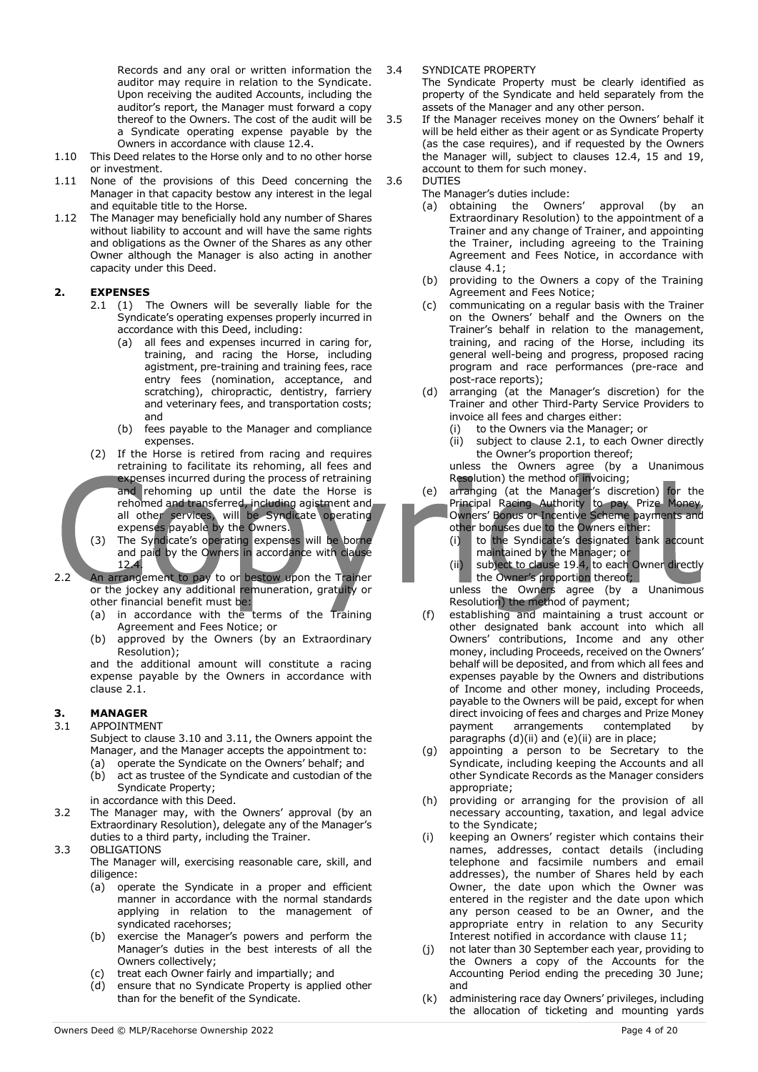Records and any oral or written information the auditor may require in relation to the Syndicate. Upon receiving the audited Accounts, including the auditor's report, the Manager must forward a copy thereof to the Owners. The cost of the audit will be a Syndicate operating expense payable by the Owners in accordance with clause 12.4.

- 1.10 This Deed relates to the Horse only and to no other horse or investment.
- 1.11 None of the provisions of this Deed concerning the Manager in that capacity bestow any interest in the legal and equitable title to the Horse.
- 1.12 The Manager may beneficially hold any number of Shares without liability to account and will have the same rights and obligations as the Owner of the Shares as any other Owner although the Manager is also acting in another capacity under this Deed.

#### **2. EXPENSES**

- 2.1 (1) The Owners will be severally liable for the Syndicate's operating expenses properly incurred in accordance with this Deed, including:
	- (a) all fees and expenses incurred in caring for, training, and racing the Horse, including agistment, pre-training and training fees, race entry fees (nomination, acceptance, and scratching), chiropractic, dentistry, farriery and veterinary fees, and transportation costs; and
	- (b) fees payable to the Manager and compliance expenses.
- (2) If the Horse is retired from racing and requires retraining to facilitate its rehoming, all fees and expenses incurred during the process of retraining and rehoming up until the date the Horse is rehomed and transferred, including agistment and all other services, will be Syndicate operating expenses payable by the Owners.
- (3) The Syndicate's operating expenses will be borne and paid by the Owners in accordance with clause 12.4.
- 2.2 An arrangement to pay to or bestow upon the Trainer or the jockey any additional remuneration, gratuity or other financial benefit must be:
	- (a) in accordance with the terms of the Training Agreement and Fees Notice; or
	- (b) approved by the Owners (by an Extraordinary Resolution);

and the additional amount will constitute a racing expense payable by the Owners in accordance with clause 2.1.

#### **3. MANAGER**

#### 3.1 APPOINTMENT

Subject to clause 3.10 and 3.11, the Owners appoint the Manager, and the Manager accepts the appointment to:

- (a) operate the Syndicate on the Owners' behalf; and (b) act as trustee of the Syndicate and custodian of the
- Syndicate Property; in accordance with this Deed.
- 3.2 The Manager may, with the Owners' approval (by an Extraordinary Resolution), delegate any of the Manager's duties to a third party, including the Trainer.
- 3.3 OBLIGATIONS
	- The Manager will, exercising reasonable care, skill, and diligence:
		- (a) operate the Syndicate in a proper and efficient manner in accordance with the normal standards applying in relation to the management of syndicated racehorses;
		- (b) exercise the Manager's powers and perform the Manager's duties in the best interests of all the Owners collectively;
		- (c) treat each Owner fairly and impartially; and
		- (d) ensure that no Syndicate Property is applied other than for the benefit of the Syndicate.

3.4 SYNDICATE PROPERTY

The Syndicate Property must be clearly identified as property of the Syndicate and held separately from the assets of the Manager and any other person.

- 3.5 If the Manager receives money on the Owners' behalf it will be held either as their agent or as Syndicate Property (as the case requires), and if requested by the Owners the Manager will, subject to clauses 12.4, 15 and 19, account to them for such money.
- 3.6 DUTIES
	-
- The Manager's duties include:<br>(a) obtaining the Owners' (a) obtaining the Owners' approval (by an Extraordinary Resolution) to the appointment of a Trainer and any change of Trainer, and appointing the Trainer, including agreeing to the Training Agreement and Fees Notice, in accordance with clause 4.1;
	- (b) providing to the Owners a copy of the Training Agreement and Fees Notice;
	- (c) communicating on a regular basis with the Trainer on the Owners' behalf and the Owners on the Trainer's behalf in relation to the management, training, and racing of the Horse, including its general well-being and progress, proposed racing program and race performances (pre-race and post-race reports);
	- (d) arranging (at the Manager's discretion) for the Trainer and other Third-Party Service Providers to invoice all fees and charges either:
		- (i) to the Owners via the Manager; or
		- (ii) subject to clause 2.1, to each Owner directly the Owner's proportion thereof;

unless the Owners agree (by a Unanimous Resolution) the method of invoicing;

- (e) arranging (at the Manager's discretion) for the Principal Racing Authority to pay Prize Money,
- Owners' Bonus or Incentive Scheme payments and other bonuses due to the Owners either:
	- (i) to the Syndicate's designated bank account maintained by the Manager; or
	- (ii) subject to clause 19.4, to each Owner directly the Owner's proportion thereof; unless the Owners agree (by a Unanimous Resolution) the method of payment;
- (f) establishing and maintaining a trust account or other designated bank account into which all Owners' contributions, Income and any other money, including Proceeds, received on the Owners' behalf will be deposited, and from which all fees and expenses payable by the Owners and distributions of Income and other money, including Proceeds, payable to the Owners will be paid, except for when direct invoicing of fees and charges and Prize Money payment arrangements contemplated by paragraphs (d)(ii) and (e)(ii) are in place;
- (g) appointing a person to be Secretary to the Syndicate, including keeping the Accounts and all other Syndicate Records as the Manager considers appropriate;
- (h) providing or arranging for the provision of all necessary accounting, taxation, and legal advice to the Syndicate;
- (i) keeping an Owners' register which contains their names, addresses, contact details (including telephone and facsimile numbers and email addresses), the number of Shares held by each Owner, the date upon which the Owner was entered in the register and the date upon which any person ceased to be an Owner, and the appropriate entry in relation to any Security Interest notified in accordance with clause 11;
- (j) not later than 30 September each year, providing to the Owners a copy of the Accounts for the Accounting Period ending the preceding 30 June; and
- (k) administering race day Owners' privileges, including the allocation of ticketing and mounting yards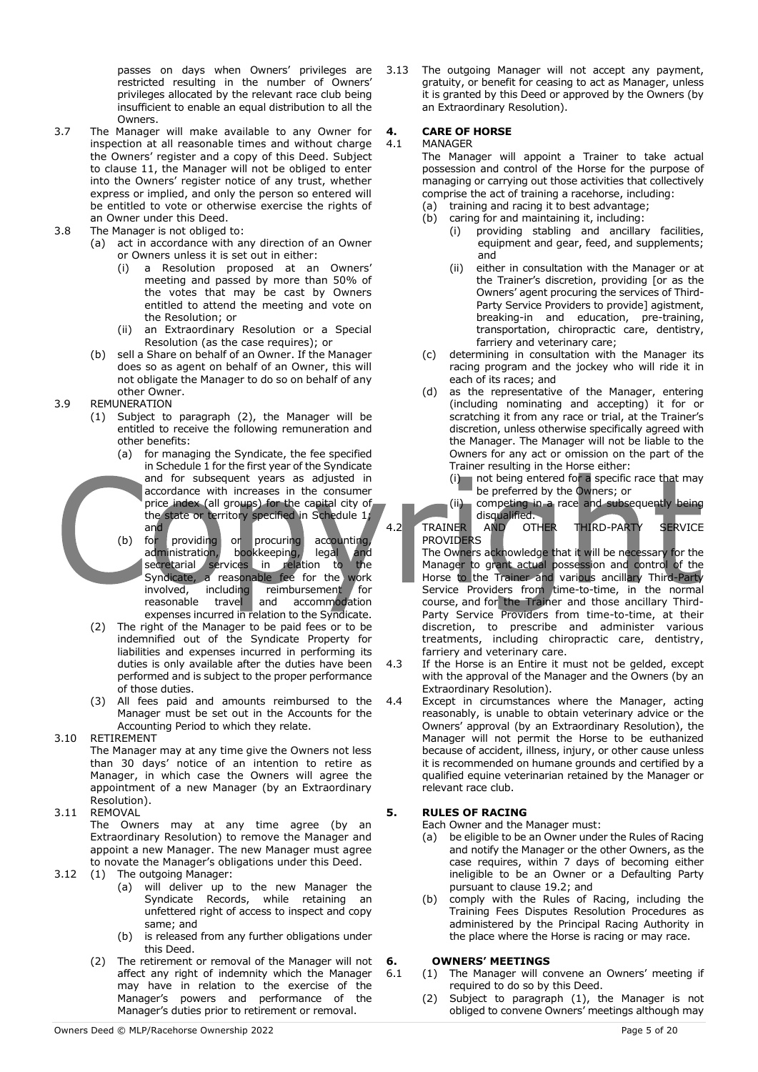passes on days when Owners' privileges are restricted resulting in the number of Owners' privileges allocated by the relevant race club being insufficient to enable an equal distribution to all the Owners.

- 3.7 The Manager will make available to any Owner for inspection at all reasonable times and without charge the Owners' register and a copy of this Deed. Subject to clause 11, the Manager will not be obliged to enter into the Owners' register notice of any trust, whether express or implied, and only the person so entered will be entitled to vote or otherwise exercise the rights of an Owner under this Deed.
- 3.8 The Manager is not obliged to:
	- (a) act in accordance with any direction of an Owner or Owners unless it is set out in either:
		- (i) a Resolution proposed at an Owners' meeting and passed by more than 50% of the votes that may be cast by Owners entitled to attend the meeting and vote on the Resolution; or
		- (ii) an Extraordinary Resolution or a Special Resolution (as the case requires); or
	- (b) sell a Share on behalf of an Owner. If the Manager does so as agent on behalf of an Owner, this will not obligate the Manager to do so on behalf of any other Owner.
- 3.9 REMUNERATION
	- (1) Subject to paragraph (2), the Manager will be entitled to receive the following remuneration and other benefits:
		- (a) for managing the Syndicate, the fee specified in Schedule 1 for the first year of the Syndicate and for subsequent years as adjusted in accordance with increases in the consumer price index (all groups) for the capital city of the state or territory specified in Schedule 1;
		- and<br>for providing (b) for providing or procuring accounting, administration, bookkeeping, legal and<br>secretarial services in relation to the secretarial services in relation to the Syndicate, a reasonable fee for the work involved, including reimbursement for reasonable travel and accommodation expenses incurred in relation to the Syndicate.
	- (2) The right of the Manager to be paid fees or to be indemnified out of the Syndicate Property for liabilities and expenses incurred in performing its duties is only available after the duties have been performed and is subject to the proper performance of those duties.
	- (3) All fees paid and amounts reimbursed to the Manager must be set out in the Accounts for the Accounting Period to which they relate.
- 3.10 RETIREMENT

The Manager may at any time give the Owners not less than 30 days' notice of an intention to retire as Manager, in which case the Owners will agree the appointment of a new Manager (by an Extraordinary Resolution).

3.11 REMOVAL

The Owners may at any time agree (by an Extraordinary Resolution) to remove the Manager and appoint a new Manager. The new Manager must agree to novate the Manager's obligations under this Deed.

- 3.12 (1) The outgoing Manager:
	- (a) will deliver up to the new Manager the Syndicate Records, while retaining an unfettered right of access to inspect and copy same; and
	- (b) is released from any further obligations under this Deed.
	- (2) The retirement or removal of the Manager will not affect any right of indemnity which the Manager may have in relation to the exercise of the Manager's powers and performance of the Manager's duties prior to retirement or removal.

3.13 The outgoing Manager will not accept any payment, gratuity, or benefit for ceasing to act as Manager, unless it is granted by this Deed or approved by the Owners (by an Extraordinary Resolution).

### **4. CARE OF HORSE**

#### **MANAGER**

The Manager will appoint a Trainer to take actual possession and control of the Horse for the purpose of managing or carrying out those activities that collectively comprise the act of training a racehorse, including:

- (a) training and racing it to best advantage;
- (b) caring for and maintaining it, including:
	- (i) providing stabling and ancillary facilities, equipment and gear, feed, and supplements; and
	- (ii) either in consultation with the Manager or at the Trainer's discretion, providing [or as the Owners' agent procuring the services of Third-Party Service Providers to provide] agistment, breaking-in and education, pre-training, transportation, chiropractic care, dentistry, farriery and veterinary care;
- (c) determining in consultation with the Manager its racing program and the jockey who will ride it in each of its races; and
- (d) as the representative of the Manager, entering (including nominating and accepting) it for or scratching it from any race or trial, at the Trainer's discretion, unless otherwise specifically agreed with the Manager. The Manager will not be liable to the Owners for any act or omission on the part of the Trainer resulting in the Horse either:
	- (i) not being entered for a specific race that may be preferred by the Owners; or
	- (ii) competing in a race and subsequently being disqualified.<br>AND OTHER

4.2 TRAINER AND OTHER THIRD-PARTY SERVICE **PROVIDERS** 

The Owners acknowledge that it will be necessary for the Manager to grant actual possession and control of the Horse to the Trainer and various ancillary Third-Party Service Providers from time-to-time, in the normal course, and for the Trainer and those ancillary Third-Party Service Providers from time-to-time, at their discretion, to prescribe and administer various treatments, including chiropractic care, dentistry, farriery and veterinary care.

- 4.3 If the Horse is an Entire it must not be gelded, except with the approval of the Manager and the Owners (by an Extraordinary Resolution).
- 4.4 Except in circumstances where the Manager, acting reasonably, is unable to obtain veterinary advice or the Owners' approval (by an Extraordinary Resolution), the Manager will not permit the Horse to be euthanized because of accident, illness, injury, or other cause unless it is recommended on humane grounds and certified by a qualified equine veterinarian retained by the Manager or relevant race club.

#### **5. RULES OF RACING**

Each Owner and the Manager must:

- (a) be eligible to be an Owner under the Rules of Racing and notify the Manager or the other Owners, as the case requires, within 7 days of becoming either ineligible to be an Owner or a Defaulting Party pursuant to clause 19.2; and
- (b) comply with the Rules of Racing, including the Training Fees Disputes Resolution Procedures as administered by the Principal Racing Authority in the place where the Horse is racing or may race.

#### **6. OWNERS' MEETINGS**

- 6.1 (1) The Manager will convene an Owners' meeting if required to do so by this Deed.
	- (2) Subject to paragraph (1), the Manager is not obliged to convene Owners' meetings although may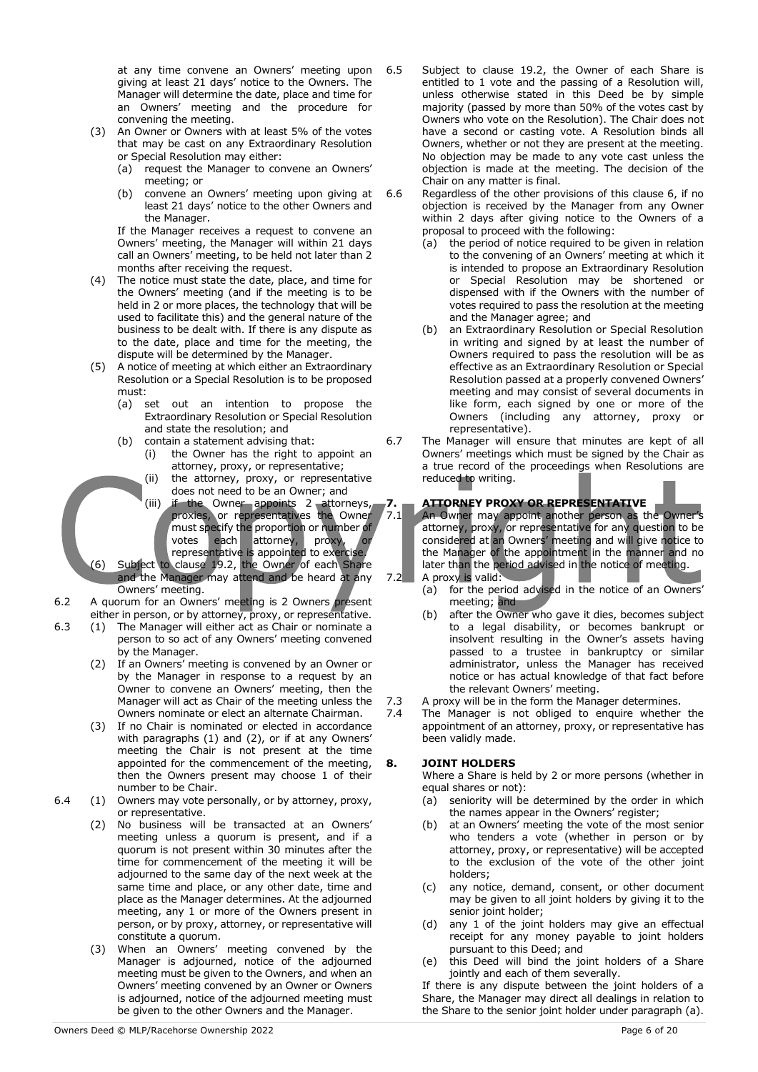at any time convene an Owners' meeting upon giving at least 21 days' notice to the Owners. The Manager will determine the date, place and time for an Owners' meeting and the procedure for convening the meeting.

- (3) An Owner or Owners with at least 5% of the votes that may be cast on any Extraordinary Resolution or Special Resolution may either:
	- (a) request the Manager to convene an Owners' meeting; or
	- (b) convene an Owners' meeting upon giving at least 21 days' notice to the other Owners and the Manager.

If the Manager receives a request to convene an Owners' meeting, the Manager will within 21 days call an Owners' meeting, to be held not later than 2 months after receiving the request.

- (4) The notice must state the date, place, and time for the Owners' meeting (and if the meeting is to be held in 2 or more places, the technology that will be used to facilitate this) and the general nature of the business to be dealt with. If there is any dispute as to the date, place and time for the meeting, the dispute will be determined by the Manager.
- (5) A notice of meeting at which either an Extraordinary Resolution or a Special Resolution is to be proposed must:
	- (a) set out an intention to propose the Extraordinary Resolution or Special Resolution and state the resolution; and
	- (b) contain a statement advising that: (i) the Owner has the right to appoint an
		- attorney, proxy, or representative;
		- (ii) the attorney, proxy, or representative does not need to be an Owner; and
		- (iii) if the Owner appoints 2 attorneys, proxies, or representatives the Owner must specify the proportion or number of votes each attorney, proxy, or representative is appointed to exercise.
- (6) Subject to clause 19.2, the Owner of each Share and the Manager may attend and be heard at any Owners' meeting.
- 6.2 A quorum for an Owners' meeting is 2 Owners present either in person, or by attorney, proxy, or representative.
- 6.3 (1) The Manager will either act as Chair or nominate a person to so act of any Owners' meeting convened by the Manager.
	- (2) If an Owners' meeting is convened by an Owner or by the Manager in response to a request by an Owner to convene an Owners' meeting, then the Manager will act as Chair of the meeting unless the Owners nominate or elect an alternate Chairman.
	- (3) If no Chair is nominated or elected in accordance with paragraphs (1) and (2), or if at any Owners' meeting the Chair is not present at the time appointed for the commencement of the meeting, then the Owners present may choose 1 of their number to be Chair.
- 6.4 (1) Owners may vote personally, or by attorney, proxy, or representative.
	- (2) No business will be transacted at an Owners' meeting unless a quorum is present, and if a quorum is not present within 30 minutes after the time for commencement of the meeting it will be adjourned to the same day of the next week at the same time and place, or any other date, time and place as the Manager determines. At the adjourned meeting, any 1 or more of the Owners present in person, or by proxy, attorney, or representative will constitute a quorum.
	- (3) When an Owners' meeting convened by the Manager is adjourned, notice of the adjourned meeting must be given to the Owners, and when an Owners' meeting convened by an Owner or Owners is adjourned, notice of the adjourned meeting must be given to the other Owners and the Manager.
- 6.5 Subject to clause 19.2, the Owner of each Share is entitled to 1 vote and the passing of a Resolution will, unless otherwise stated in this Deed be by simple majority (passed by more than 50% of the votes cast by Owners who vote on the Resolution). The Chair does not have a second or casting vote. A Resolution binds all Owners, whether or not they are present at the meeting. No objection may be made to any vote cast unless the objection is made at the meeting. The decision of the Chair on any matter is final.
- 6.6 Regardless of the other provisions of this clause 6, if no objection is received by the Manager from any Owner within 2 days after giving notice to the Owners of a proposal to proceed with the following:
	- (a) the period of notice required to be given in relation to the convening of an Owners' meeting at which it is intended to propose an Extraordinary Resolution or Special Resolution may be shortened or dispensed with if the Owners with the number of votes required to pass the resolution at the meeting and the Manager agree; and
	- (b) an Extraordinary Resolution or Special Resolution in writing and signed by at least the number of Owners required to pass the resolution will be as effective as an Extraordinary Resolution or Special Resolution passed at a properly convened Owners' meeting and may consist of several documents in like form, each signed by one or more of the Owners (including any attorney, proxy or representative).
- 6.7 The Manager will ensure that minutes are kept of all Owners' meetings which must be signed by the Chair as a true record of the proceedings when Resolutions are reduced to writing.

#### **7. ATTORNEY PROXY OR REPRESENTATIVE**

7.1 An Owner may appoint another person as the Owner's attorney, proxy, or representative for any question to be considered at an Owners' meeting and will give notice to the Manager of the appointment in the manner and no later than the period advised in the notice of meeting. 7.2 A proxy is valid:

- (a) for the period advised in the notice of an Owners' meeting; and
- (b) after the Owner who gave it dies, becomes subject to a legal disability, or becomes bankrupt or insolvent resulting in the Owner's assets having passed to a trustee in bankruptcy or similar administrator, unless the Manager has received notice or has actual knowledge of that fact before the relevant Owners' meeting.
- 7.3 A proxy will be in the form the Manager determines.
- 7.4 The Manager is not obliged to enquire whether the appointment of an attorney, proxy, or representative has been validly made.

#### **8. JOINT HOLDERS**

Where a Share is held by 2 or more persons (whether in equal shares or not):

- (a) seniority will be determined by the order in which the names appear in the Owners' register;
- (b) at an Owners' meeting the vote of the most senior who tenders a vote (whether in person or by attorney, proxy, or representative) will be accepted to the exclusion of the vote of the other joint holders;
- (c) any notice, demand, consent, or other document may be given to all joint holders by giving it to the senior joint holder;
- (d) any 1 of the joint holders may give an effectual receipt for any money payable to joint holders pursuant to this Deed; and
- (e) this Deed will bind the joint holders of a Share jointly and each of them severally.

If there is any dispute between the joint holders of a Share, the Manager may direct all dealings in relation to the Share to the senior joint holder under paragraph (a).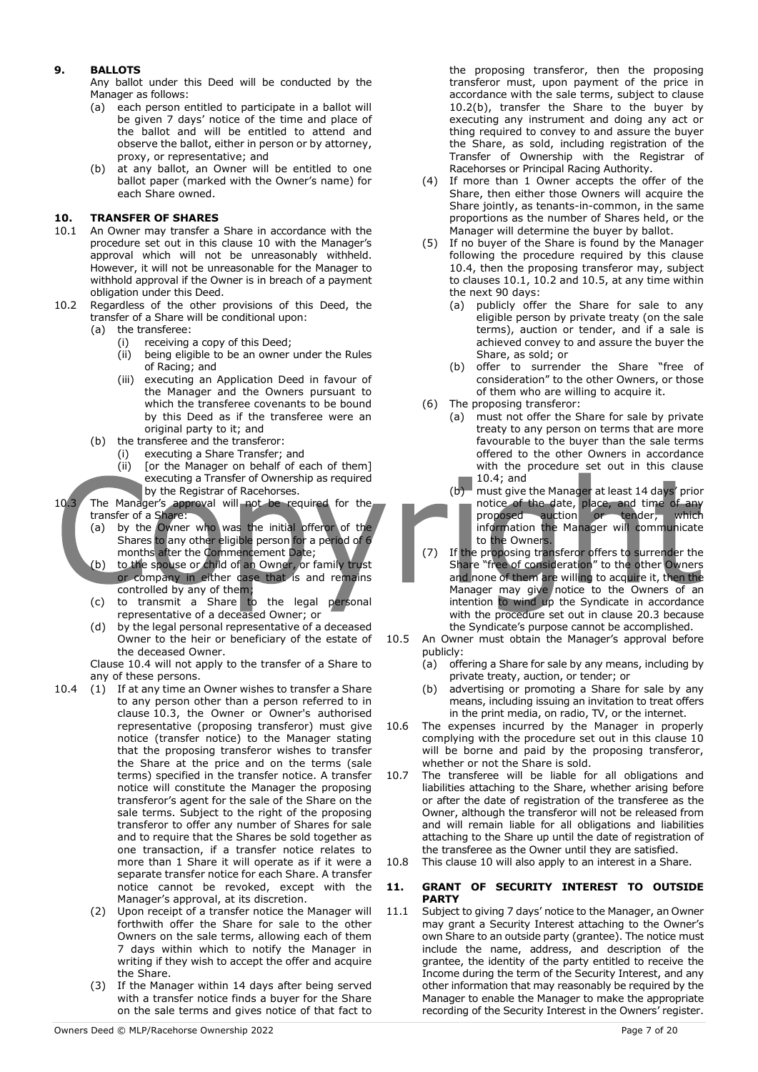#### **9. BALLOTS**

Any ballot under this Deed will be conducted by the Manager as follows:

- (a) each person entitled to participate in a ballot will be given 7 days' notice of the time and place of the ballot and will be entitled to attend and observe the ballot, either in person or by attorney, proxy, or representative; and
- (b) at any ballot, an Owner will be entitled to one ballot paper (marked with the Owner's name) for each Share owned.

#### **10. TRANSFER OF SHARES**

- 10.1 An Owner may transfer a Share in accordance with the procedure set out in this clause 10 with the Manager's approval which will not be unreasonably withheld. However, it will not be unreasonable for the Manager to withhold approval if the Owner is in breach of a payment obligation under this Deed.
- 10.2 Regardless of the other provisions of this Deed, the transfer of a Share will be conditional upon:
	- (a) the transferee:
		- (i) receiving a copy of this Deed;
		- (ii) being eligible to be an owner under the Rules of Racing; and
		- (iii) executing an Application Deed in favour of the Manager and the Owners pursuant to which the transferee covenants to be bound by this Deed as if the transferee were an original party to it; and
	- (b) the transferee and the transferor:
		- (i) executing a Share Transfer; and
		- (ii) [or the Manager on behalf of each of them] executing a Transfer of Ownership as required by the Registrar of Racehorses.
- 10.3 The Manager's approval will not be required for the transfer of a Share:
	- (a) by the Owner who was the initial offeror of the Shares to any other eligible person for a period of 6 months after the Commencement Date;
	- (b) to the spouse or child of an Owner, or family trust or company in either case that is and remains controlled by any of them;
	- (c) to transmit a Share to the legal personal representative of a deceased Owner; or
	- (d) by the legal personal representative of a deceased Owner to the heir or beneficiary of the estate of the deceased Owner.
	- Clause 10.4 will not apply to the transfer of a Share to any of these persons.
- 10.4 (1) If at any time an Owner wishes to transfer a Share to any person other than a person referred to in clause 10.3, the Owner or Owner's authorised representative (proposing transferor) must give notice (transfer notice) to the Manager stating that the proposing transferor wishes to transfer the Share at the price and on the terms (sale terms) specified in the transfer notice. A transfer notice will constitute the Manager the proposing transferor's agent for the sale of the Share on the sale terms. Subject to the right of the proposing transferor to offer any number of Shares for sale and to require that the Shares be sold together as one transaction, if a transfer notice relates to more than 1 Share it will operate as if it were a separate transfer notice for each Share. A transfer notice cannot be revoked, except with the Manager's approval, at its discretion.
	- (2) Upon receipt of a transfer notice the Manager will forthwith offer the Share for sale to the other Owners on the sale terms, allowing each of them 7 days within which to notify the Manager in writing if they wish to accept the offer and acquire the Share.
	- (3) If the Manager within 14 days after being served with a transfer notice finds a buyer for the Share on the sale terms and gives notice of that fact to
- (4) If more than 1 Owner accepts the offer of the Share, then either those Owners will acquire the Share jointly, as tenants-in-common, in the same proportions as the number of Shares held, or the Manager will determine the buyer by ballot.
- (5) If no buyer of the Share is found by the Manager following the procedure required by this clause 10.4, then the proposing transferor may, subject to clauses 10.1, 10.2 and 10.5, at any time within the next 90 days:
	- (a) publicly offer the Share for sale to any eligible person by private treaty (on the sale terms), auction or tender, and if a sale is achieved convey to and assure the buyer the Share, as sold; or
	- (b) offer to surrender the Share "free of consideration" to the other Owners, or those of them who are willing to acquire it.
- (6) The proposing transferor:
	- (a) must not offer the Share for sale by private treaty to any person on terms that are more favourable to the buyer than the sale terms offered to the other Owners in accordance with the procedure set out in this clause 10.4; and
	- (b) must give the Manager at least 14 days' prior notice of the date, place, and time of any proposed auction or tender, which information the Manager will communicate to the Owners.
- (7) If the proposing transferor offers to surrender the Share "free of consideration" to the other Owners and none of them are willing to acquire it, then the Manager may give notice to the Owners of an intention to wind up the Syndicate in accordance with the procedure set out in clause 20.3 because the Syndicate's purpose cannot be accomplished.
- 10.5 An Owner must obtain the Manager's approval before publicly:
	- (a) offering a Share for sale by any means, including by private treaty, auction, or tender; or
	- (b) advertising or promoting a Share for sale by any means, including issuing an invitation to treat offers in the print media, on radio, TV, or the internet.
- 10.6 The expenses incurred by the Manager in properly complying with the procedure set out in this clause 10 will be borne and paid by the proposing transferor, whether or not the Share is sold.
- 10.7 The transferee will be liable for all obligations and liabilities attaching to the Share, whether arising before or after the date of registration of the transferee as the Owner, although the transferor will not be released from and will remain liable for all obligations and liabilities attaching to the Share up until the date of registration of the transferee as the Owner until they are satisfied.
- 10.8 This clause 10 will also apply to an interest in a Share.

#### **11. GRANT OF SECURITY INTEREST TO OUTSIDE PARTY**

11.1 Subject to giving 7 days' notice to the Manager, an Owner may grant a Security Interest attaching to the Owner's own Share to an outside party (grantee). The notice must include the name, address, and description of the grantee, the identity of the party entitled to receive the Income during the term of the Security Interest, and any other information that may reasonably be required by the Manager to enable the Manager to make the appropriate recording of the Security Interest in the Owners' register.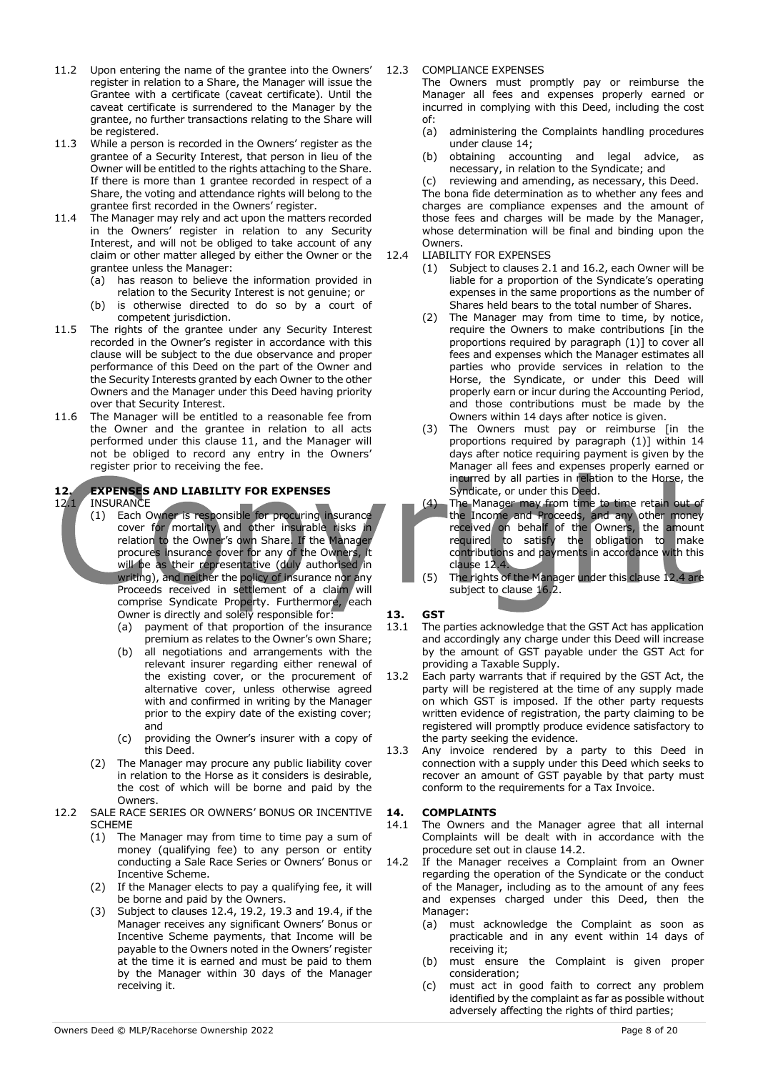- 11.2 Upon entering the name of the grantee into the Owners' register in relation to a Share, the Manager will issue the Grantee with a certificate (caveat certificate). Until the caveat certificate is surrendered to the Manager by the grantee, no further transactions relating to the Share will be registered.
- 11.3 While a person is recorded in the Owners' register as the grantee of a Security Interest, that person in lieu of the Owner will be entitled to the rights attaching to the Share. If there is more than 1 grantee recorded in respect of a Share, the voting and attendance rights will belong to the grantee first recorded in the Owners' register.
- 11.4 The Manager may rely and act upon the matters recorded in the Owners' register in relation to any Security Interest, and will not be obliged to take account of any claim or other matter alleged by either the Owner or the grantee unless the Manager:
	- (a) has reason to believe the information provided in relation to the Security Interest is not genuine; or
	- (b) is otherwise directed to do so by a court of competent jurisdiction.
- 11.5 The rights of the grantee under any Security Interest recorded in the Owner's register in accordance with this clause will be subject to the due observance and proper performance of this Deed on the part of the Owner and the Security Interests granted by each Owner to the other Owners and the Manager under this Deed having priority over that Security Interest.
- 11.6 The Manager will be entitled to a reasonable fee from the Owner and the grantee in relation to all acts performed under this clause 11, and the Manager will not be obliged to record any entry in the Owners' register prior to receiving the fee.

## **12. EXPENSES AND LIABILITY FOR EXPENSES**

#### **INSURANCE**

- (1) Each Owner is responsible for procuring insurance cover for mortality and other insurable risks in relation to the Owner's own Share. If the Manager procures insurance cover for any of the Owners, it will be as their representative (duly authorised in writing), and neither the policy of insurance nor any Proceeds received in settlement of a claim will comprise Syndicate Property. Furthermore, each Owner is directly and solely responsible for:
	- (a) payment of that proportion of the insurance premium as relates to the Owner's own Share;
	- (b) all negotiations and arrangements with the relevant insurer regarding either renewal of the existing cover, or the procurement of alternative cover, unless otherwise agreed with and confirmed in writing by the Manager prior to the expiry date of the existing cover; and
	- (c) providing the Owner's insurer with a copy of this Deed.
- (2) The Manager may procure any public liability cover in relation to the Horse as it considers is desirable, the cost of which will be borne and paid by the Owners.
- 12.2 SALE RACE SERIES OR OWNERS' BONUS OR INCENTIVE SCHEME
	- (1) The Manager may from time to time pay a sum of money (qualifying fee) to any person or entity conducting a Sale Race Series or Owners' Bonus or Incentive Scheme.
	- (2) If the Manager elects to pay a qualifying fee, it will be borne and paid by the Owners.
	- (3) Subject to clauses 12.4, 19.2, 19.3 and 19.4, if the Manager receives any significant Owners' Bonus or Incentive Scheme payments, that Income will be payable to the Owners noted in the Owners' register at the time it is earned and must be paid to them by the Manager within 30 days of the Manager receiving it.

#### 12.3 COMPLIANCE EXPENSES

The Owners must promptly pay or reimburse the Manager all fees and expenses properly earned or incurred in complying with this Deed, including the cost of:

- (a) administering the Complaints handling procedures under clause 14;
- (b) obtaining accounting and legal advice, as necessary, in relation to the Syndicate; and
- (c) reviewing and amending, as necessary, this Deed.

The bona fide determination as to whether any fees and charges are compliance expenses and the amount of those fees and charges will be made by the Manager, whose determination will be final and binding upon the Owners.

- 12.4 LIABILITY FOR EXPENSES
	- (1) Subject to clauses 2.1 and 16.2, each Owner will be liable for a proportion of the Syndicate's operating expenses in the same proportions as the number of Shares held bears to the total number of Shares.
	- (2) The Manager may from time to time, by notice, require the Owners to make contributions [in the proportions required by paragraph (1)] to cover all fees and expenses which the Manager estimates all parties who provide services in relation to the Horse, the Syndicate, or under this Deed will properly earn or incur during the Accounting Period, and those contributions must be made by the Owners within 14 days after notice is given.
	- (3) The Owners must pay or reimburse [in the proportions required by paragraph (1)] within 14 days after notice requiring payment is given by the Manager all fees and expenses properly earned or incurred by all parties in relation to the Horse, the Syndicate, or under this Deed.
	- (4) The Manager may from time to time retain out of the Income and Proceeds, and any other money received on behalf of the Owners, the amount required to satisfy the obligation to make contributions and payments in accordance with this clause 12.4.
	- (5) The rights of the Manager under this clause 12.4 are subject to clause 16.2.

#### **13. GST**

- 13.1 The parties acknowledge that the GST Act has application and accordingly any charge under this Deed will increase by the amount of GST payable under the GST Act for providing a Taxable Supply.
- 13.2 Each party warrants that if required by the GST Act, the party will be registered at the time of any supply made on which GST is imposed. If the other party requests written evidence of registration, the party claiming to be registered will promptly produce evidence satisfactory to the party seeking the evidence.
- 13.3 Any invoice rendered by a party to this Deed in connection with a supply under this Deed which seeks to recover an amount of GST payable by that party must conform to the requirements for a Tax Invoice.

#### **14. COMPLAINTS**

- 14.1 The Owners and the Manager agree that all internal Complaints will be dealt with in accordance with the procedure set out in clause 14.2.
- 14.2 If the Manager receives a Complaint from an Owner regarding the operation of the Syndicate or the conduct of the Manager, including as to the amount of any fees and expenses charged under this Deed, then the Manager:
	- (a) must acknowledge the Complaint as soon as practicable and in any event within 14 days of receiving it;
	- (b) must ensure the Complaint is given proper consideration;
	- (c) must act in good faith to correct any problem identified by the complaint as far as possible without adversely affecting the rights of third parties;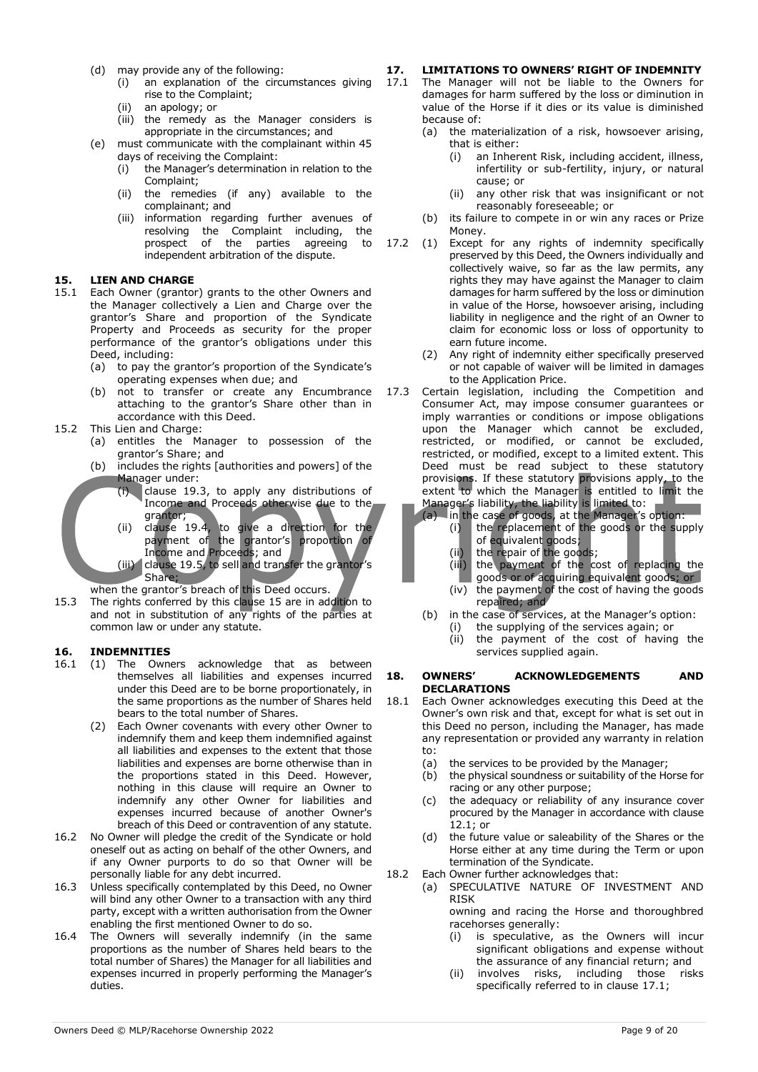- (d) may provide any of the following:
	- (i) an explanation of the circumstances giving rise to the Complaint;
	- (ii) an apology; or
	- (iii) the remedy as the Manager considers is appropriate in the circumstances; and
- (e) must communicate with the complainant within 45 days of receiving the Complaint:
	- (i) the Manager's determination in relation to the Complaint;
	- (ii) the remedies (if any) available to the complainant; and
	- (iii) information regarding further avenues of resolving the Complaint including, the prospect of the parties agreeing to independent arbitration of the dispute.

#### **15. LIEN AND CHARGE**

- 15.1 Each Owner (grantor) grants to the other Owners and the Manager collectively a Lien and Charge over the grantor's Share and proportion of the Syndicate Property and Proceeds as security for the proper performance of the grantor's obligations under this Deed, including:
	- (a) to pay the grantor's proportion of the Syndicate's operating expenses when due; and
	- (b) not to transfer or create any Encumbrance attaching to the grantor's Share other than in accordance with this Deed.
- 15.2 This Lien and Charge:
	- (a) entitles the Manager to possession of the grantor's Share; and
	- (b) includes the rights [authorities and powers] of the Manager under:
		- (i) clause 19.3, to apply any distributions of Income and Proceeds otherwise due to the grantor;
			- (ii) clause 19.4, to give a direction for the payment of the grantor's proportion of Income and Proceeds; and (iii) clause 19.5, to sell and transfer the grantor's Share;

when the grantor's breach of this Deed occurs.

15.3 The rights conferred by this clause 15 are in addition to and not in substitution of any rights of the parties at common law or under any statute.

#### **16. INDEMNITIES**

- 16.1 (1) The Owners acknowledge that as between themselves all liabilities and expenses incurred under this Deed are to be borne proportionately, in the same proportions as the number of Shares held bears to the total number of Shares.
	- (2) Each Owner covenants with every other Owner to indemnify them and keep them indemnified against all liabilities and expenses to the extent that those liabilities and expenses are borne otherwise than in the proportions stated in this Deed. However, nothing in this clause will require an Owner to indemnify any other Owner for liabilities and expenses incurred because of another Owner's breach of this Deed or contravention of any statute.
- 16.2 No Owner will pledge the credit of the Syndicate or hold oneself out as acting on behalf of the other Owners, and if any Owner purports to do so that Owner will be personally liable for any debt incurred.
- 16.3 Unless specifically contemplated by this Deed, no Owner will bind any other Owner to a transaction with any third party, except with a written authorisation from the Owner enabling the first mentioned Owner to do so.
- 16.4 The Owners will severally indemnify (in the same proportions as the number of Shares held bears to the total number of Shares) the Manager for all liabilities and expenses incurred in properly performing the Manager's duties.

## **17. LIMITATIONS TO OWNERS' RIGHT OF INDEMNITY**<br>17.1 The Manager will not be liable to the Owners for

- The Manager will not be liable to the Owners for damages for harm suffered by the loss or diminution in value of the Horse if it dies or its value is diminished because of:
	- (a) the materialization of a risk, howsoever arising, that is either:
		- (i) an Inherent Risk, including accident, illness, infertility or sub-fertility, injury, or natural cause; or
		- (ii) any other risk that was insignificant or not reasonably foreseeable; or
- (b) its failure to compete in or win any races or Prize Money.
- 17.2 (1) Except for any rights of indemnity specifically preserved by this Deed, the Owners individually and collectively waive, so far as the law permits, any rights they may have against the Manager to claim damages for harm suffered by the loss or diminution in value of the Horse, howsoever arising, including liability in negligence and the right of an Owner to claim for economic loss or loss of opportunity to earn future income.
	- (2) Any right of indemnity either specifically preserved or not capable of waiver will be limited in damages to the Application Price.
- 17.3 Certain legislation, including the Competition and Consumer Act, may impose consumer guarantees or imply warranties or conditions or impose obligations upon the Manager which cannot be excluded, restricted, or modified, or cannot be excluded, restricted, or modified, except to a limited extent. This Deed must be read subject to these statutory provisions. If these statutory provisions apply, to the extent to which the Manager is entitled to limit the Manager's liability, the liability is limited to:

(a) in the case of goods, at the Manager's option:

- (i) the replacement of the goods or the supply of equivalent goods;
	- (ii) the repair of the goods;
	- (iii) the payment of the cost of replacing the goods or of acquiring equivalent goods; or
	- (iv) the payment of the cost of having the goods repaired; and
- (b) in the case of services, at the Manager's option:
	- (i) the supplying of the services again; or
	- (ii) the payment of the cost of having the services supplied again.

#### **18. OWNERS' ACKNOWLEDGEMENTS AND DECLARATIONS**

- 18.1 Each Owner acknowledges executing this Deed at the Owner's own risk and that, except for what is set out in this Deed no person, including the Manager, has made any representation or provided any warranty in relation to:
	- (a) the services to be provided by the Manager;
	- (b) the physical soundness or suitability of the Horse for racing or any other purpose;
	- (c) the adequacy or reliability of any insurance cover procured by the Manager in accordance with clause 12.1; or
	- (d) the future value or saleability of the Shares or the Horse either at any time during the Term or upon termination of the Syndicate.
- 18.2 Each Owner further acknowledges that:
	- (a) SPECULATIVE NATURE OF INVESTMENT AND RISK owning and racing the Horse and thoroughbred

racehorses generally:

- (i) is speculative, as the Owners will incur significant obligations and expense without the assurance of any financial return; and
- (ii) involves risks, including those risks specifically referred to in clause 17.1;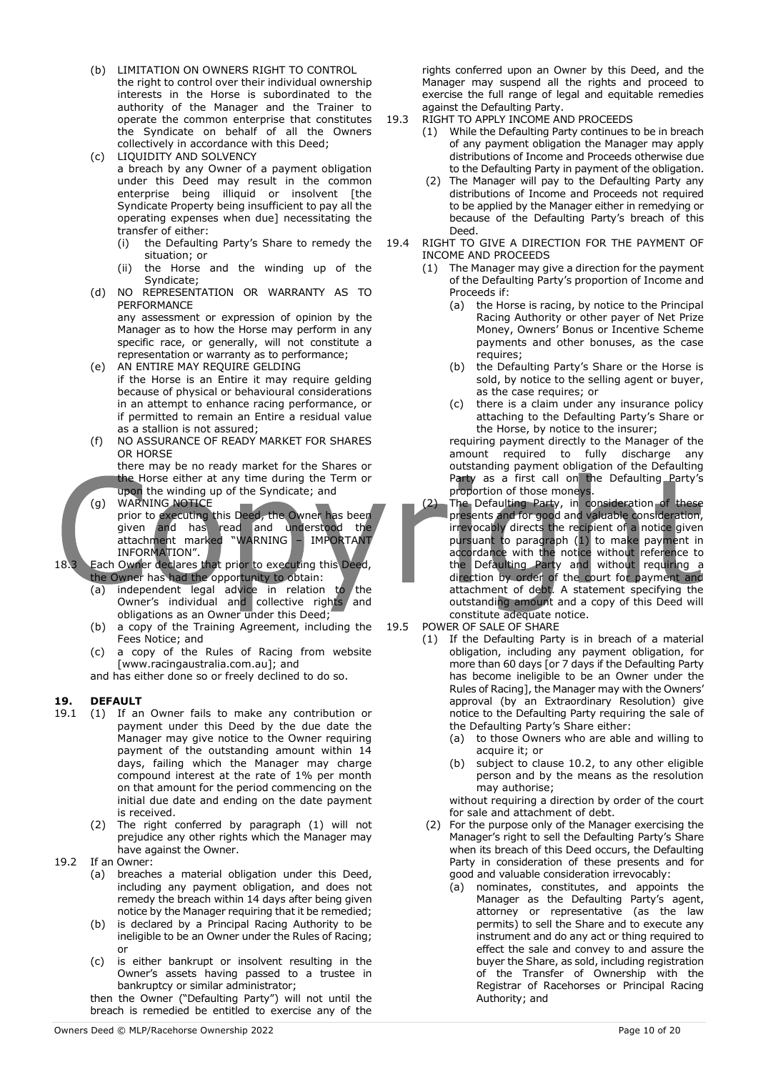- (b) LIMITATION ON OWNERS RIGHT TO CONTROL the right to control over their individual ownership interests in the Horse is subordinated to the authority of the Manager and the Trainer to operate the common enterprise that constitutes the Syndicate on behalf of all the Owners collectively in accordance with this Deed;
- (c) LIQUIDITY AND SOLVENCY a breach by any Owner of a payment obligation under this Deed may result in the common enterprise being illiquid or insolvent [the Syndicate Property being insufficient to pay all the operating expenses when due] necessitating the transfer of either:
	- (i) the Defaulting Party's Share to remedy the situation; or
	- (ii) the Horse and the winding up of the Syndicate;
- (d) NO REPRESENTATION OR WARRANTY AS TO PERFORMANCE any assessment or expression of opinion by the Manager as to how the Horse may perform in any specific race, or generally, will not constitute a representation or warranty as to performance;
- (e) AN ENTIRE MAY REQUIRE GELDING if the Horse is an Entire it may require gelding because of physical or behavioural considerations in an attempt to enhance racing performance, or if permitted to remain an Entire a residual value as a stallion is not assured;
- (f) NO ASSURANCE OF READY MARKET FOR SHARES OR HORSE

there may be no ready market for the Shares or the Horse either at any time during the Term or upon the winding up of the Syndicate; and

(g) WARNING NOTICE prior to executing this Deed, the Owner has been given and has read and understood the attachment marked "WARNING – IMPORTANT INFORMATION".

18.3 Each Owner declares that prior to executing this Deed, the Owner has had the opportunity to obtain:

- (a) independent legal advice in relation to the Owner's individual and collective rights and obligations as an Owner under this Deed;
- (b) a copy of the Training Agreement, including the Fees Notice; and
- (c) a copy of the Rules of Racing from website [www.racingaustralia.com.au]; and

and has either done so or freely declined to do so.

#### **19. DEFAULT**

- 19.1 (1) If an Owner fails to make any contribution or payment under this Deed by the due date the Manager may give notice to the Owner requiring payment of the outstanding amount within 14 days, failing which the Manager may charge compound interest at the rate of 1% per month on that amount for the period commencing on the initial due date and ending on the date payment is received.
	- (2) The right conferred by paragraph (1) will not prejudice any other rights which the Manager may have against the Owner.
- 19.2 If an Owner:
	- (a) breaches a material obligation under this Deed, including any payment obligation, and does not remedy the breach within 14 days after being given notice by the Manager requiring that it be remedied;
	- (b) is declared by a Principal Racing Authority to be ineligible to be an Owner under the Rules of Racing; or
	- (c) is either bankrupt or insolvent resulting in the Owner's assets having passed to a trustee in bankruptcy or similar administrator;

then the Owner ("Defaulting Party") will not until the breach is remedied be entitled to exercise any of the

rights conferred upon an Owner by this Deed, and the Manager may suspend all the rights and proceed to exercise the full range of legal and equitable remedies against the Defaulting Party.

- 19.3 RIGHT TO APPLY INCOME AND PROCEEDS
	- (1) While the Defaulting Party continues to be in breach of any payment obligation the Manager may apply distributions of Income and Proceeds otherwise due to the Defaulting Party in payment of the obligation.
		- (2) The Manager will pay to the Defaulting Party any distributions of Income and Proceeds not required to be applied by the Manager either in remedying or because of the Defaulting Party's breach of this Deed.
- 19.4 RIGHT TO GIVE A DIRECTION FOR THE PAYMENT OF INCOME AND PROCEEDS
	- (1) The Manager may give a direction for the payment of the Defaulting Party's proportion of Income and Proceeds if:
		- (a) the Horse is racing, by notice to the Principal Racing Authority or other payer of Net Prize Money, Owners' Bonus or Incentive Scheme payments and other bonuses, as the case requires;
		- (b) the Defaulting Party's Share or the Horse is sold, by notice to the selling agent or buyer, as the case requires; or
		- (c) there is a claim under any insurance policy attaching to the Defaulting Party's Share or the Horse, by notice to the insurer;

requiring payment directly to the Manager of the amount required to fully discharge any outstanding payment obligation of the Defaulting Party as a first call on the Defaulting Party's proportion of those moneys.

- (2) The Defaulting Party, in consideration of these presents and for good and valuable consideration, irrevocably directs the recipient of a notice given pursuant to paragraph (1) to make payment in accordance with the notice without reference to the Defaulting Party and without requiring a direction by order of the court for payment and attachment of debt. A statement specifying the outstanding amount and a copy of this Deed will constitute adequate notice.
- 19.5 POWER OF SALE OF SHARE
	- (1) If the Defaulting Party is in breach of a material obligation, including any payment obligation, for more than 60 days [or 7 days if the Defaulting Party has become ineligible to be an Owner under the Rules of Racing], the Manager may with the Owners' approval (by an Extraordinary Resolution) give notice to the Defaulting Party requiring the sale of the Defaulting Party's Share either:
		- (a) to those Owners who are able and willing to acquire it; or
		- (b) subject to clause 10.2, to any other eligible person and by the means as the resolution may authorise;

without requiring a direction by order of the court for sale and attachment of debt.

- (2) For the purpose only of the Manager exercising the Manager's right to sell the Defaulting Party's Share when its breach of this Deed occurs, the Defaulting Party in consideration of these presents and for good and valuable consideration irrevocably:
	- (a) nominates, constitutes, and appoints the Manager as the Defaulting Party's agent, attorney or representative (as the law permits) to sell the Share and to execute any instrument and do any act or thing required to effect the sale and convey to and assure the buyer the Share, as sold, including registration of the Transfer of Ownership with the Registrar of Racehorses or Principal Racing Authority; and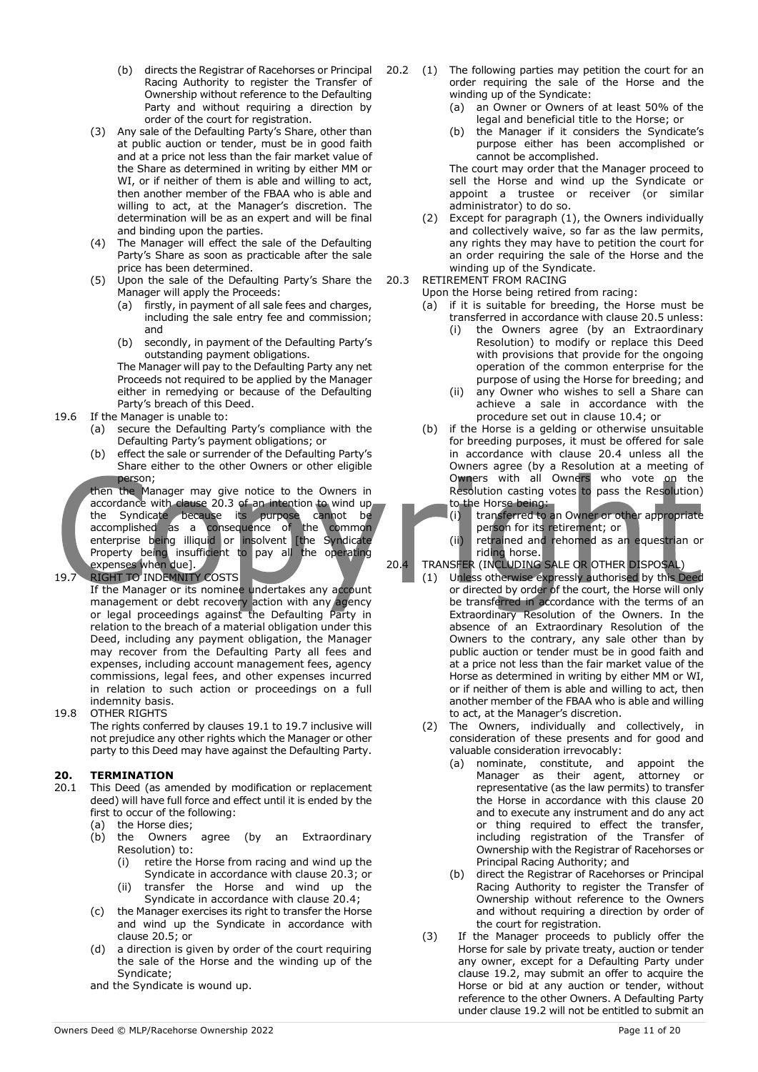- (b) directs the Registrar of Racehorses or Principal Racing Authority to register the Transfer of Ownership without reference to the Defaulting Party and without requiring a direction by order of the court for registration.
- (3) Any sale of the Defaulting Party's Share, other than at public auction or tender, must be in good faith and at a price not less than the fair market value of the Share as determined in writing by either MM or WI, or if neither of them is able and willing to act, then another member of the FBAA who is able and willing to act, at the Manager's discretion. The determination will be as an expert and will be final and binding upon the parties.
- (4) The Manager will effect the sale of the Defaulting Party's Share as soon as practicable after the sale price has been determined.
- (5) Upon the sale of the Defaulting Party's Share the Manager will apply the Proceeds:
	- (a) firstly, in payment of all sale fees and charges, including the sale entry fee and commission; and
	- (b) secondly, in payment of the Defaulting Party's outstanding payment obligations.

The Manager will pay to the Defaulting Party any net Proceeds not required to be applied by the Manager either in remedying or because of the Defaulting Party's breach of this Deed.

- 19.6 If the Manager is unable to:
	- (a) secure the Defaulting Party's compliance with the Defaulting Party's payment obligations; or
	- (b) effect the sale or surrender of the Defaulting Party's Share either to the other Owners or other eligible person;

then the Manager may give notice to the Owners in accordance with clause 20.3 of an intention to wind up the Syndicate because its purpose cannot be accomplished as a consequence of the common enterprise being illiquid or insolvent [the Syndicate Property being insufficient to pay all the operating expenses when due].

#### 19.7 RIGHT TO INDEMNITY COSTS

If the Manager or its nominee undertakes any account management or debt recovery action with any agency or legal proceedings against the Defaulting Party in relation to the breach of a material obligation under this Deed, including any payment obligation, the Manager may recover from the Defaulting Party all fees and expenses, including account management fees, agency commissions, legal fees, and other expenses incurred in relation to such action or proceedings on a full indemnity basis.

19.8 OTHER RIGHTS

The rights conferred by clauses 19.1 to 19.7 inclusive will not prejudice any other rights which the Manager or other party to this Deed may have against the Defaulting Party.

#### **20. TERMINATION**

- 20.1 This Deed (as amended by modification or replacement deed) will have full force and effect until it is ended by the first to occur of the following:
	- (a) the Horse dies;
	- (b) the Owners agree (by an Extraordinary Resolution) to:
		- (i) retire the Horse from racing and wind up the Syndicate in accordance with clause 20.3; or
		- (ii) transfer the Horse and wind up the Syndicate in accordance with clause 20.4;
	- (c) the Manager exercises its right to transfer the Horse and wind up the Syndicate in accordance with clause 20.5; or
	- (d) a direction is given by order of the court requiring the sale of the Horse and the winding up of the Syndicate;

and the Syndicate is wound up.

- 20.2 (1) The following parties may petition the court for an order requiring the sale of the Horse and the winding up of the Syndicate:
	- (a) an Owner or Owners of at least 50% of the legal and beneficial title to the Horse; or
	- the Manager if it considers the Syndicate's purpose either has been accomplished or cannot be accomplished.

The court may order that the Manager proceed to sell the Horse and wind up the Syndicate or appoint a trustee or receiver (or similar administrator) to do so.

- (2) Except for paragraph (1), the Owners individually and collectively waive, so far as the law permits, any rights they may have to petition the court for an order requiring the sale of the Horse and the winding up of the Syndicate.
- 20.3 RETIREMENT FROM RACING

Upon the Horse being retired from racing:

- (a) if it is suitable for breeding, the Horse must be transferred in accordance with clause 20.5 unless:
	- (i) the Owners agree (by an Extraordinary Resolution) to modify or replace this Deed with provisions that provide for the ongoing operation of the common enterprise for the purpose of using the Horse for breeding; and
	- (ii) any Owner who wishes to sell a Share can achieve a sale in accordance with the procedure set out in clause 10.4; or
- (b) if the Horse is a gelding or otherwise unsuitable for breeding purposes, it must be offered for sale in accordance with clause 20.4 unless all the Owners agree (by a Resolution at a meeting of Owners with all Owners who vote on the Resolution casting votes to pass the Resolution) to the Horse being:
	- (i) transferred to an Owner or other appropriate person for its retirement; or
	- (ii) retrained and rehomed as an equestrian or riding horse.

#### 20.4 TRANSFER (INCLUDING SALE OR OTHER DISPOSAL)

- (1) Unless otherwise expressly authorised by this Deed or directed by order of the court, the Horse will only be transferred in accordance with the terms of an Extraordinary Resolution of the Owners. In the absence of an Extraordinary Resolution of the Owners to the contrary, any sale other than by public auction or tender must be in good faith and at a price not less than the fair market value of the Horse as determined in writing by either MM or WI, or if neither of them is able and willing to act, then another member of the FBAA who is able and willing to act, at the Manager's discretion.
- (2) The Owners, individually and collectively, in consideration of these presents and for good and valuable consideration irrevocably:
	- (a) nominate, constitute, and appoint the Manager as their agent, attorney or representative (as the law permits) to transfer the Horse in accordance with this clause 20 and to execute any instrument and do any act or thing required to effect the transfer, including registration of the Transfer of Ownership with the Registrar of Racehorses or Principal Racing Authority; and
	- (b) direct the Registrar of Racehorses or Principal Racing Authority to register the Transfer of Ownership without reference to the Owners and without requiring a direction by order of the court for registration.
- (3) If the Manager proceeds to publicly offer the Horse for sale by private treaty, auction or tender any owner, except for a Defaulting Party under clause 19.2, may submit an offer to acquire the Horse or bid at any auction or tender, without reference to the other Owners. A Defaulting Party under clause 19.2 will not be entitled to submit an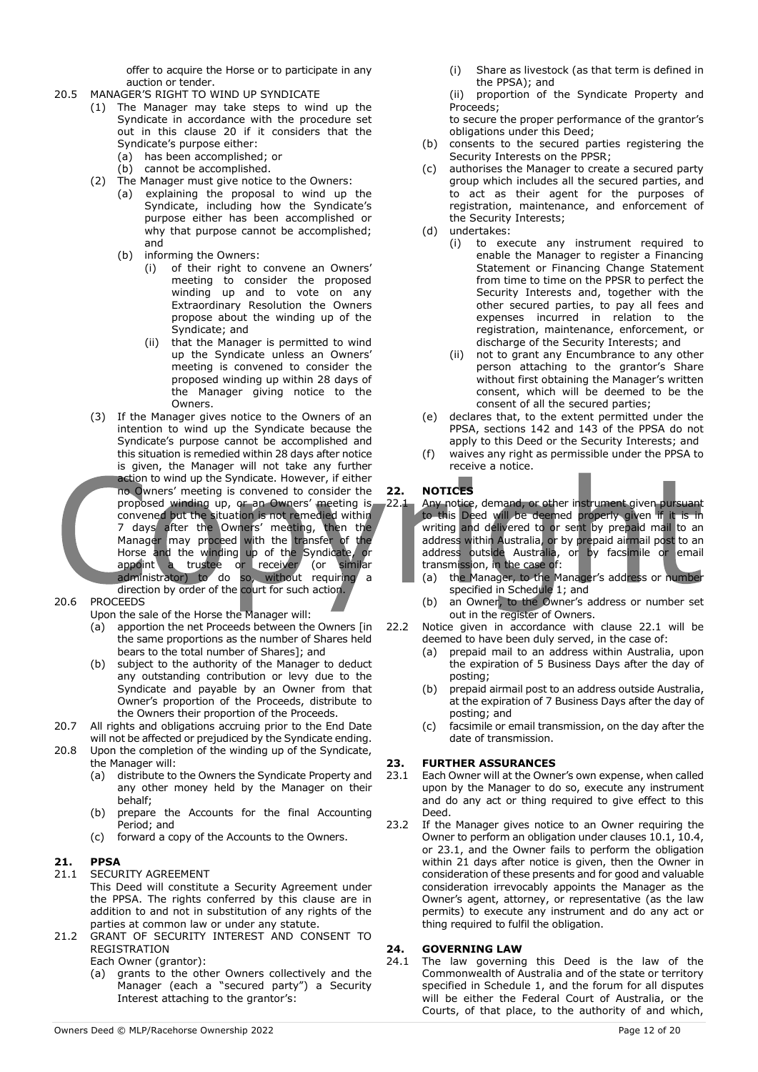offer to acquire the Horse or to participate in any auction or tender.

- 20.5 MANAGER'S RIGHT TO WIND UP SYNDICATE
	- (1) The Manager may take steps to wind up the Syndicate in accordance with the procedure set out in this clause 20 if it considers that the Syndicate's purpose either:
		- (a) has been accomplished; or
		- (b) cannot be accomplished.
	- (2) The Manager must give notice to the Owners:
		- (a) explaining the proposal to wind up the Syndicate, including how the Syndicate's purpose either has been accomplished or why that purpose cannot be accomplished; and
		- (b) informing the Owners:
			- (i) of their right to convene an Owners' meeting to consider the proposed winding up and to vote on any Extraordinary Resolution the Owners propose about the winding up of the Syndicate; and
			- (ii) that the Manager is permitted to wind up the Syndicate unless an Owners' meeting is convened to consider the proposed winding up within 28 days of the Manager giving notice to the Owners.
	- (3) If the Manager gives notice to the Owners of an intention to wind up the Syndicate because the Syndicate's purpose cannot be accomplished and this situation is remedied within 28 days after notice is given, the Manager will not take any further action to wind up the Syndicate. However, if either no Owners' meeting is convened to consider the proposed winding up, or an Owners' meeting is convened but the situation is not remedied within 7 days after the Owners' meeting, then the Manager may proceed with the transfer of the Horse and the winding up of the Syndicate, or appoint a trustee or receiver (or similar administrator) to do so, without requiring a direction by order of the court for such action.
- 20.6 PROCEEDS
	- Upon the sale of the Horse the Manager will:
		- (a) apportion the net Proceeds between the Owners [in the same proportions as the number of Shares held bears to the total number of Shares]; and
		- (b) subject to the authority of the Manager to deduct any outstanding contribution or levy due to the Syndicate and payable by an Owner from that Owner's proportion of the Proceeds, distribute to the Owners their proportion of the Proceeds.
- 20.7 All rights and obligations accruing prior to the End Date will not be affected or prejudiced by the Syndicate ending.
- 20.8 Upon the completion of the winding up of the Syndicate, the Manager will:
	- (a) distribute to the Owners the Syndicate Property and any other money held by the Manager on their behalf;
	- (b) prepare the Accounts for the final Accounting Period; and
	- (c) forward a copy of the Accounts to the Owners.

#### **21. PPSA**

- 21.1 SECURITY AGREEMENT
	- This Deed will constitute a Security Agreement under the PPSA. The rights conferred by this clause are in addition to and not in substitution of any rights of the parties at common law or under any statute.
- 21.2 GRANT OF SECURITY INTEREST AND CONSENT TO REGISTRATION

Each Owner (grantor):

(a) grants to the other Owners collectively and the Manager (each a "secured party") a Security Interest attaching to the grantor's:

(i) Share as livestock (as that term is defined in the PPSA); and

(ii) proportion of the Syndicate Property and Proceeds;

to secure the proper performance of the grantor's obligations under this Deed;

- (b) consents to the secured parties registering the Security Interests on the PPSR;
- (c) authorises the Manager to create a secured party group which includes all the secured parties, and to act as their agent for the purposes of registration, maintenance, and enforcement of the Security Interests;
- (d) undertakes:
	- (i) to execute any instrument required to enable the Manager to register a Financing Statement or Financing Change Statement from time to time on the PPSR to perfect the Security Interests and, together with the other secured parties, to pay all fees and expenses incurred in relation to the registration, maintenance, enforcement, or discharge of the Security Interests; and
	- (ii) not to grant any Encumbrance to any other person attaching to the grantor's Share without first obtaining the Manager's written consent, which will be deemed to be the consent of all the secured parties;
- (e) declares that, to the extent permitted under the PPSA, sections 142 and 143 of the PPSA do not apply to this Deed or the Security Interests; and
- (f) waives any right as permissible under the PPSA to receive a notice.

#### **22. NOTICES**

- Any notice, demand, or other instrument given pursuant to this Deed will be deemed properly given if it is in writing and delivered to or sent by prepaid mail to an address within Australia, or by prepaid airmail post to an address outside Australia, or by facsimile or email transmission, in the case of:
- (a) the Manager, to the Manager's address or number specified in Schedule 1; and
- (b) an Owner, to the Owner's address or number set out in the register of Owners.
- 22.2 Notice given in accordance with clause 22.1 will be deemed to have been duly served, in the case of:
	- (a) prepaid mail to an address within Australia, upon the expiration of 5 Business Days after the day of posting;
	- (b) prepaid airmail post to an address outside Australia, at the expiration of 7 Business Days after the day of posting; and
	- (c) facsimile or email transmission, on the day after the date of transmission.

#### **23. FURTHER ASSURANCES**

- 23.1 Each Owner will at the Owner's own expense, when called upon by the Manager to do so, execute any instrument and do any act or thing required to give effect to this Deed.
- 23.2 If the Manager gives notice to an Owner requiring the Owner to perform an obligation under clauses 10.1, 10.4, or 23.1, and the Owner fails to perform the obligation within 21 days after notice is given, then the Owner in consideration of these presents and for good and valuable consideration irrevocably appoints the Manager as the Owner's agent, attorney, or representative (as the law permits) to execute any instrument and do any act or thing required to fulfil the obligation.

#### **24. GOVERNING LAW**

24.1 The law governing this Deed is the law of the Commonwealth of Australia and of the state or territory specified in Schedule 1, and the forum for all disputes will be either the Federal Court of Australia, or the Courts, of that place, to the authority of and which,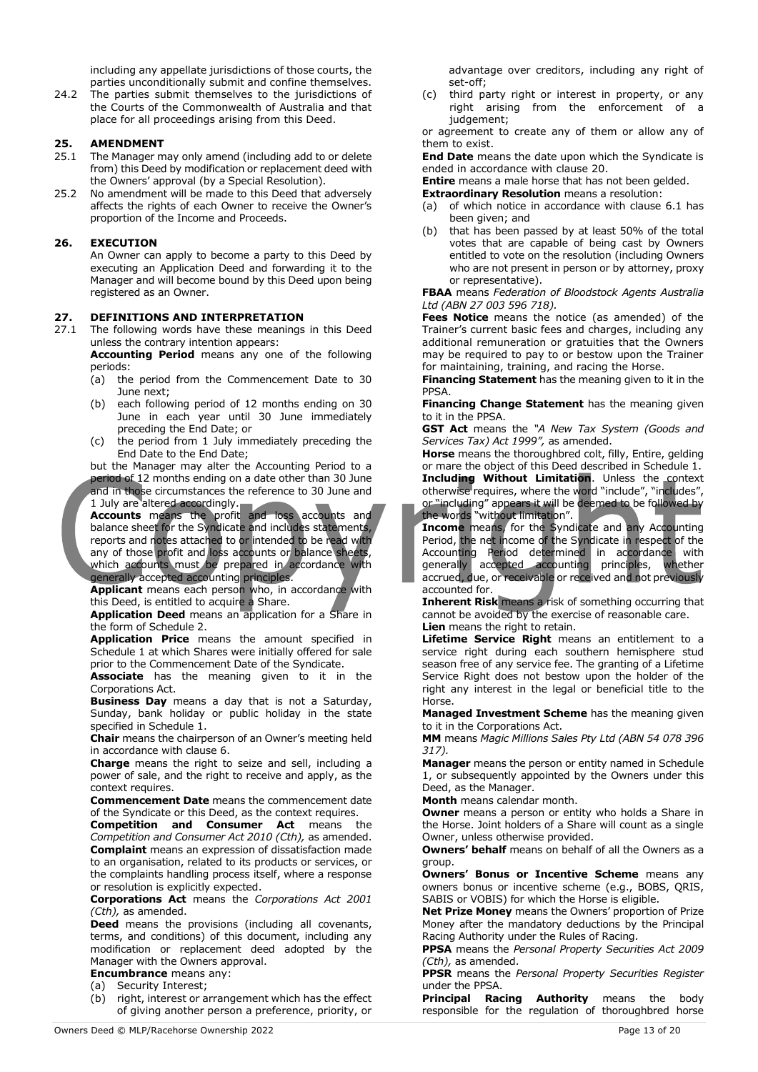including any appellate jurisdictions of those courts, the parties unconditionally submit and confine themselves.

24.2 The parties submit themselves to the jurisdictions of the Courts of the Commonwealth of Australia and that place for all proceedings arising from this Deed.

#### **25. AMENDMENT**

- 25.1 The Manager may only amend (including add to or delete from) this Deed by modification or replacement deed with the Owners' approval (by a Special Resolution).
- 25.2 No amendment will be made to this Deed that adversely affects the rights of each Owner to receive the Owner's proportion of the Income and Proceeds.

#### **26. EXECUTION**

An Owner can apply to become a party to this Deed by executing an Application Deed and forwarding it to the Manager and will become bound by this Deed upon being registered as an Owner.

## 27. **DEFINITIONS AND INTERPRETATION**<br>27.1 The following words have these meanings

The following words have these meanings in this Deed unless the contrary intention appears:

**Accounting Period** means any one of the following periods:

- (a) the period from the Commencement Date to 30 June next;
- (b) each following period of 12 months ending on 30 June in each year until 30 June immediately preceding the End Date; or
- (c) the period from 1 July immediately preceding the End Date to the End Date;

but the Manager may alter the Accounting Period to a period of 12 months ending on a date other than 30 June and in those circumstances the reference to 30 June and

1 July are altered accordingly. **Accounts** means the profit and loss accounts and balance sheet for the Syndicate and includes statements, reports and notes attached to or intended to be read with any of those profit and loss accounts or balance sheets, which accounts must be prepared in accordance with generally accepted accounting principles.

Applicant means each person who, in accordance with this Deed, is entitled to acquire a Share.

**Application Deed** means an application for a Share in the form of Schedule 2.

**Application Price** means the amount specified in Schedule 1 at which Shares were initially offered for sale prior to the Commencement Date of the Syndicate.

**Associate** has the meaning given to it in the Corporations Act.

**Business Day** means a day that is not a Saturday, Sunday, bank holiday or public holiday in the state specified in Schedule 1.

**Chair** means the chairperson of an Owner's meeting held in accordance with clause 6.

**Charge** means the right to seize and sell, including a power of sale, and the right to receive and apply, as the context requires.

**Commencement Date** means the commencement date of the Syndicate or this Deed, as the context requires.

**Competition and Consumer Act** means the *Competition and Consumer Act 2010 (Cth),* as amended. **Complaint** means an expression of dissatisfaction made to an organisation, related to its products or services, or the complaints handling process itself, where a response or resolution is explicitly expected.

**Corporations Act** means the *Corporations Act 2001 (Cth),* as amended.

**Deed** means the provisions (including all covenants, terms, and conditions) of this document, including any modification or replacement deed adopted by the Manager with the Owners approval.

#### **Encumbrance** means any:

- (a) Security Interest;
- (b) right, interest or arrangement which has the effect of giving another person a preference, priority, or

advantage over creditors, including any right of set-off;

(c) third party right or interest in property, or any right arising from the enforcement of a judgement;

or agreement to create any of them or allow any of them to exist.

**End Date** means the date upon which the Syndicate is ended in accordance with clause 20.

**Entire** means a male horse that has not been gelded.

**Extraordinary Resolution** means a resolution:

- (a) of which notice in accordance with clause 6.1 has been given; and
- (b) that has been passed by at least 50% of the total votes that are capable of being cast by Owners entitled to vote on the resolution (including Owners who are not present in person or by attorney, proxy or representative).

**FBAA** means *Federation of Bloodstock Agents Australia Ltd (ABN 27 003 596 718).*

**Fees Notice** means the notice (as amended) of the Trainer's current basic fees and charges, including any additional remuneration or gratuities that the Owners may be required to pay to or bestow upon the Trainer for maintaining, training, and racing the Horse.

**Financing Statement** has the meaning given to it in the PPSA.

**Financing Change Statement** has the meaning given to it in the PPSA.

**GST Act** means the *"A New Tax System (Goods and Services Tax) Act 1999",* as amended.

**Horse** means the thoroughbred colt, filly, Entire, gelding or mare the object of this Deed described in Schedule 1. **Including Without Limitation**. Unless the context otherwise requires, where the word "include", "includes", or "including" appears it will be deemed to be followed by

the words "without limitation". **Income** means, for the Syndicate and any Accounting Period, the net income of the Syndicate in respect of the Accounting Period determined in accordance with generally accepted accounting principles, whether accrued, due, or receivable or received and not previously accounted for.

**Inherent Risk** means a risk of something occurring that cannot be avoided by the exercise of reasonable care.

**Lien** means the right to retain.

Lifetime Service Right means an entitlement to a service right during each southern hemisphere stud season free of any service fee. The granting of a Lifetime Service Right does not bestow upon the holder of the right any interest in the legal or beneficial title to the Horse.

**Managed Investment Scheme** has the meaning given to it in the Corporations Act.

**MM** means *Magic Millions Sales Pty Ltd (ABN 54 078 396 317).*

**Manager** means the person or entity named in Schedule 1, or subsequently appointed by the Owners under this Deed, as the Manager.

**Month** means calendar month.

**Owner** means a person or entity who holds a Share in the Horse. Joint holders of a Share will count as a single Owner, unless otherwise provided.

**Owners' behalf** means on behalf of all the Owners as a group.

**Owners' Bonus or Incentive Scheme** means any owners bonus or incentive scheme (e.g., BOBS, QRIS, SABIS or VOBIS) for which the Horse is eligible.

**Net Prize Money** means the Owners' proportion of Prize Money after the mandatory deductions by the Principal Racing Authority under the Rules of Racing.

**PPSA** means the *Personal Property Securities Act 2009 (Cth),* as amended.

**PPSR** means the *Personal Property Securities Register* under the PPSA.

**Principal Racing Authority** means the body responsible for the regulation of thoroughbred horse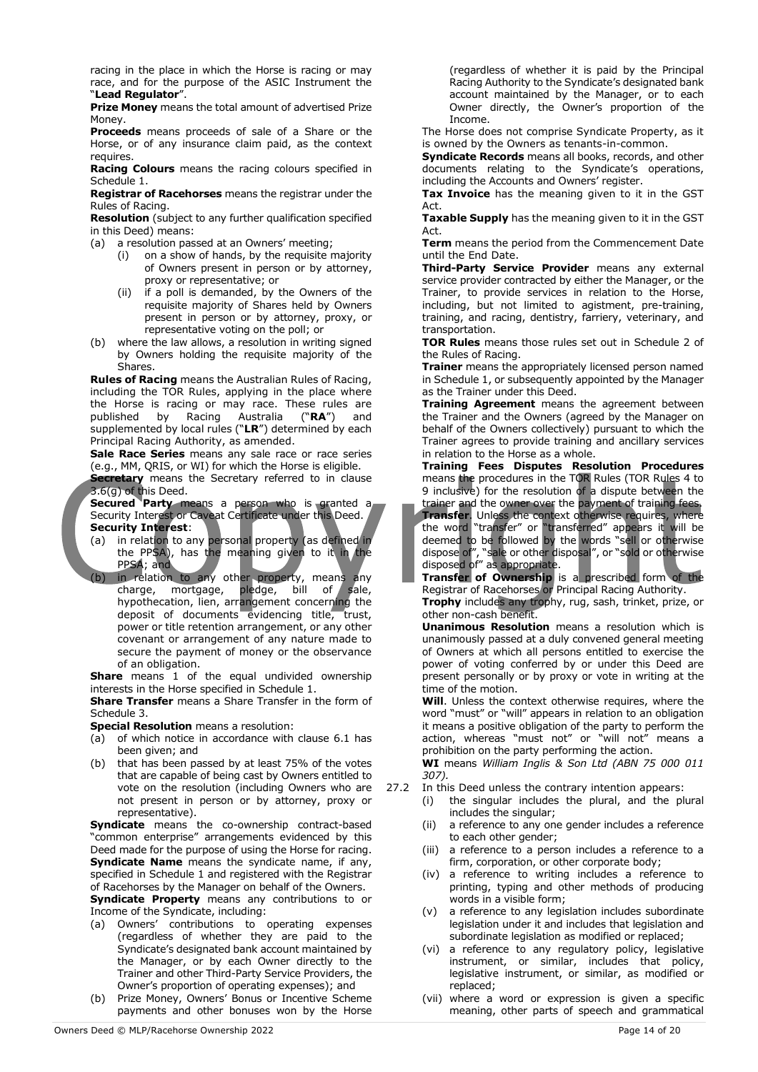racing in the place in which the Horse is racing or may race, and for the purpose of the ASIC Instrument the "**Lead Regulator**".

**Prize Money** means the total amount of advertised Prize Money.

**Proceeds** means proceeds of sale of a Share or the Horse, or of any insurance claim paid, as the context requires.

**Racing Colours** means the racing colours specified in Schedule 1.

**Registrar of Racehorses** means the registrar under the Rules of Racing.

**Resolution** (subject to any further qualification specified in this Deed) means:

(a) a resolution passed at an Owners' meeting;

- (i) on a show of hands, by the requisite majority of Owners present in person or by attorney, proxy or representative; or
- (ii) if a poll is demanded, by the Owners of the requisite majority of Shares held by Owners present in person or by attorney, proxy, or representative voting on the poll; or
- (b) where the law allows, a resolution in writing signed by Owners holding the requisite majority of the Shares.

**Rules of Racing** means the Australian Rules of Racing, including the TOR Rules, applying in the place where the Horse is racing or may race. These rules are<br>published by Racing Australia ("**RA**") and published by Racing Australia ("**RA**") and supplemented by local rules ("**LR**") determined by each Principal Racing Authority, as amended.

**Sale Race Series** means any sale race or race series (e.g., MM, QRIS, or WI) for which the Horse is eligible.

**Secretary** means the Secretary referred to in clause 3.6(g) of this Deed.

**Secured Party** means a person who is granted a Security Interest or Caveat Certificate under this Deed. **Security Interest**:

- (a) in relation to any personal property (as defined in the PPSA), has the meaning given to it in the PPSA; and
- (b) in relation to any other property, means any charge, mortgage, pledge, bill of sale, hypothecation, lien, arrangement concerning the deposit of documents evidencing title, trust, power or title retention arrangement, or any other covenant or arrangement of any nature made to secure the payment of money or the observance of an obligation.

**Share** means 1 of the equal undivided ownership interests in the Horse specified in Schedule 1.

**Share Transfer** means a Share Transfer in the form of Schedule 3.

**Special Resolution** means a resolution:

- (a) of which notice in accordance with clause 6.1 has been given; and
- (b) that has been passed by at least 75% of the votes that are capable of being cast by Owners entitled to vote on the resolution (including Owners who are not present in person or by attorney, proxy or representative).

**Syndicate** means the co-ownership contract-based "common enterprise" arrangements evidenced by this Deed made for the purpose of using the Horse for racing. **Syndicate Name** means the syndicate name, if any, specified in Schedule 1 and registered with the Registrar of Racehorses by the Manager on behalf of the Owners.

**Syndicate Property** means any contributions to or Income of the Syndicate, including:

- (a) Owners' contributions to operating expenses (regardless of whether they are paid to the Syndicate's designated bank account maintained by the Manager, or by each Owner directly to the Trainer and other Third-Party Service Providers, the Owner's proportion of operating expenses); and
- (b) Prize Money, Owners' Bonus or Incentive Scheme payments and other bonuses won by the Horse

(regardless of whether it is paid by the Principal Racing Authority to the Syndicate's designated bank account maintained by the Manager, or to each Owner directly, the Owner's proportion of the Income.

The Horse does not comprise Syndicate Property, as it is owned by the Owners as tenants-in-common.

**Syndicate Records** means all books, records, and other documents relating to the Syndicate's operations, including the Accounts and Owners' register.

**Tax Invoice** has the meaning given to it in the GST Act.

**Taxable Supply** has the meaning given to it in the GST Act.

**Term** means the period from the Commencement Date until the End Date.

**Third-Party Service Provider** means any external service provider contracted by either the Manager, or the Trainer, to provide services in relation to the Horse, including, but not limited to agistment, pre-training, training, and racing, dentistry, farriery, veterinary, and transportation.

**TOR Rules** means those rules set out in Schedule 2 of the Rules of Racing.

**Trainer** means the appropriately licensed person named in Schedule 1, or subsequently appointed by the Manager as the Trainer under this Deed.

**Training Agreement** means the agreement between the Trainer and the Owners (agreed by the Manager on behalf of the Owners collectively) pursuant to which the Trainer agrees to provide training and ancillary services in relation to the Horse as a whole.

**Training Fees Disputes Resolution Procedures**  means the procedures in the TOR Rules (TOR Rules 4 to 9 inclusive) for the resolution of a dispute between the

trainer and the owner over the payment of training fees. **Transfer**. Unless the context otherwise requires, where the word "transfer" or "transferred" appears it will be deemed to be followed by the words "sell or otherwise dispose of", "sale or other disposal", or "sold or otherwise disposed of" as appropriate.

**Transfer of Ownership** is a prescribed form of the Registrar of Racehorses or Principal Racing Authority.

**Trophy** includes any trophy, rug, sash, trinket, prize, or other non-cash benefit.

**Unanimous Resolution** means a resolution which is unanimously passed at a duly convened general meeting of Owners at which all persons entitled to exercise the power of voting conferred by or under this Deed are present personally or by proxy or vote in writing at the time of the motion.

**Will**. Unless the context otherwise requires, where the word "must" or "will" appears in relation to an obligation it means a positive obligation of the party to perform the action, whereas "must not" or "will not" means a prohibition on the party performing the action.

**WI** means *William Inglis & Son Ltd (ABN 75 000 011 307).*

- 27.2 In this Deed unless the contrary intention appears:
	- (i) the singular includes the plural, and the plural includes the singular;
	- (ii) a reference to any one gender includes a reference to each other gender;
	- (iii) a reference to a person includes a reference to a firm, corporation, or other corporate body;
	- (iv) a reference to writing includes a reference to printing, typing and other methods of producing words in a visible form;
	- (v) a reference to any legislation includes subordinate legislation under it and includes that legislation and subordinate legislation as modified or replaced;
	- (vi) a reference to any regulatory policy, legislative instrument, or similar, includes that policy, legislative instrument, or similar, as modified or replaced;
	- (vii) where a word or expression is given a specific meaning, other parts of speech and grammatical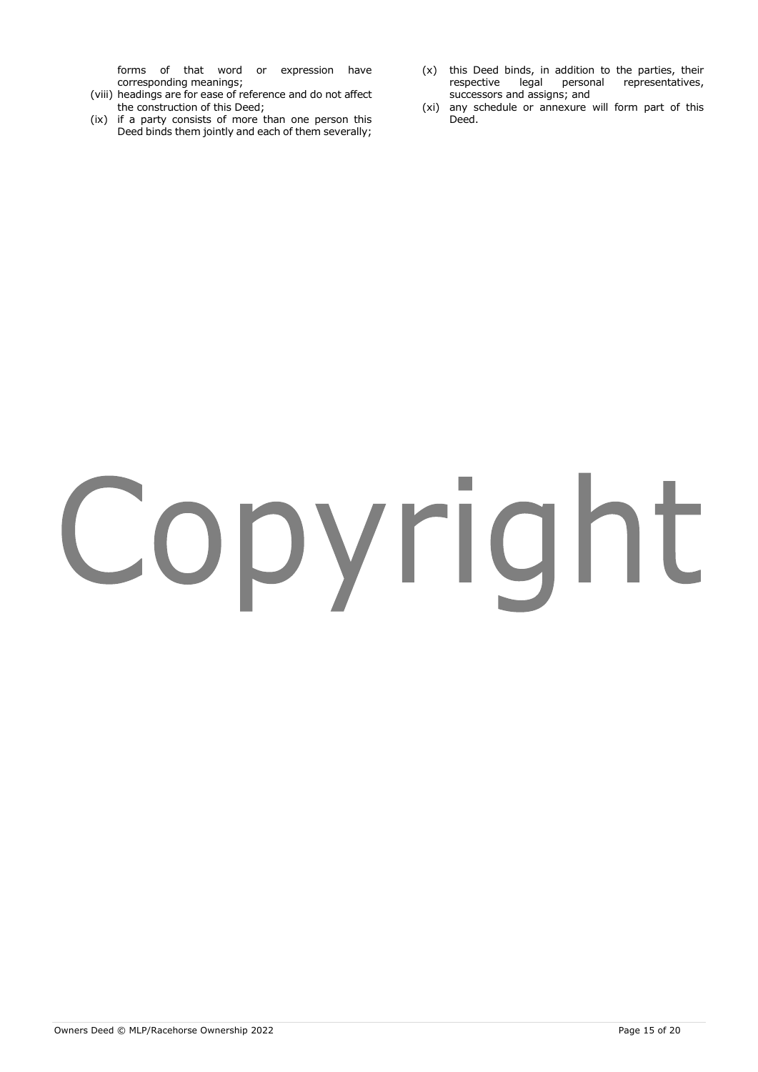forms of that word or expression have corresponding meanings;

- (viii) headings are for ease of reference and do not affect the construction of this Deed;
- (ix) if a party consists of more than one person this Deed binds them jointly and each of them severally;
- (x) this Deed binds, in addition to the parties, their<br>respective legal personal representatives, respective legal personal successors and assigns; and
- (xi) any schedule or annexure will form part of this Deed.

# Copyright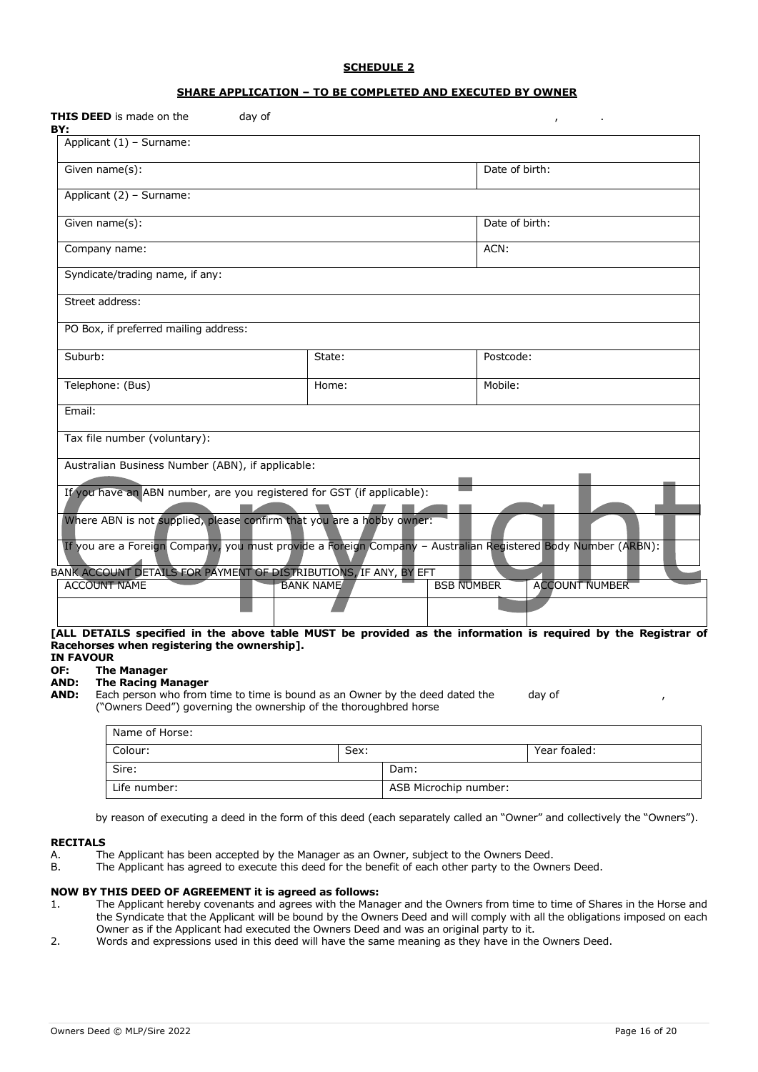#### **SCHEDULE 2**

#### **SHARE APPLICATION – TO BE COMPLETED AND EXECUTED BY OWNER**

| THIS DEED is made on the<br>day of<br>BY:                                                                                                                                                                                                                                                                                                  |                  |                   | $\mathbf{r}$          |
|--------------------------------------------------------------------------------------------------------------------------------------------------------------------------------------------------------------------------------------------------------------------------------------------------------------------------------------------|------------------|-------------------|-----------------------|
| Applicant (1) - Surname:                                                                                                                                                                                                                                                                                                                   |                  |                   |                       |
| Given name(s):                                                                                                                                                                                                                                                                                                                             |                  | Date of birth:    |                       |
| Applicant (2) - Surname:                                                                                                                                                                                                                                                                                                                   |                  |                   |                       |
| Given name(s):                                                                                                                                                                                                                                                                                                                             |                  | Date of birth:    |                       |
| Company name:                                                                                                                                                                                                                                                                                                                              |                  | ACN:              |                       |
| Syndicate/trading name, if any:                                                                                                                                                                                                                                                                                                            |                  |                   |                       |
| Street address:                                                                                                                                                                                                                                                                                                                            |                  |                   |                       |
| PO Box, if preferred mailing address:                                                                                                                                                                                                                                                                                                      |                  |                   |                       |
| Suburb:                                                                                                                                                                                                                                                                                                                                    | State:           | Postcode:         |                       |
| Telephone: (Bus)                                                                                                                                                                                                                                                                                                                           | Home:            | Mobile:           |                       |
| Email:                                                                                                                                                                                                                                                                                                                                     |                  |                   |                       |
| Tax file number (voluntary):                                                                                                                                                                                                                                                                                                               |                  |                   |                       |
| Australian Business Number (ABN), if applicable:                                                                                                                                                                                                                                                                                           |                  |                   |                       |
| If you have an ABN number, are you registered for GST (if applicable):                                                                                                                                                                                                                                                                     |                  |                   |                       |
| Where ABN is not supplied, please confirm that you are a hobby owner:                                                                                                                                                                                                                                                                      |                  |                   |                       |
| If you are a Foreign Company, you must provide a Foreign Company - Australian Registered Body Number (ARBN):                                                                                                                                                                                                                               |                  |                   |                       |
| BANK ACCOUNT DETAILS FOR PAYMENT OF DISTRIBUTIONS, IF ANY, BY EFT                                                                                                                                                                                                                                                                          |                  |                   |                       |
| <b>ACCOUNT NAME</b>                                                                                                                                                                                                                                                                                                                        | <b>BANK NAME</b> | <b>BSB NUMBER</b> | <b>ACCOUNT NUMBER</b> |
|                                                                                                                                                                                                                                                                                                                                            |                  |                   |                       |
| [ALL DETAILS specified in the above table MUST be provided as the information is required by the Registrar of<br>Racehorses when registering the ownership].<br><b>IN FAVOUR</b><br>OF:<br><b>The Manager</b><br><b>The Racing Manager</b><br>AND:<br>AND:<br>Each person who from time to time is bound as an Owner by the deed dated the |                  |                   | day of                |

("Owners Deed") governing the ownership of the thoroughbred horse

| Name of Horse: |      |                       |              |
|----------------|------|-----------------------|--------------|
| Colour:        | Sex: |                       | Year foaled: |
| Sire:          |      | Dam:                  |              |
| Life number:   |      | ASB Microchip number: |              |

by reason of executing a deed in the form of this deed (each separately called an "Owner" and collectively the "Owners").

#### **RECITALS**

- A. The Applicant has been accepted by the Manager as an Owner, subject to the Owners Deed.
- B. The Applicant has agreed to execute this deed for the benefit of each other party to the Owners Deed.

#### **NOW BY THIS DEED OF AGREEMENT it is agreed as follows:**

- 1. The Applicant hereby covenants and agrees with the Manager and the Owners from time to time of Shares in the Horse and the Syndicate that the Applicant will be bound by the Owners Deed and will comply with all the obligations imposed on each Owner as if the Applicant had executed the Owners Deed and was an original party to it.
- 2. Words and expressions used in this deed will have the same meaning as they have in the Owners Deed.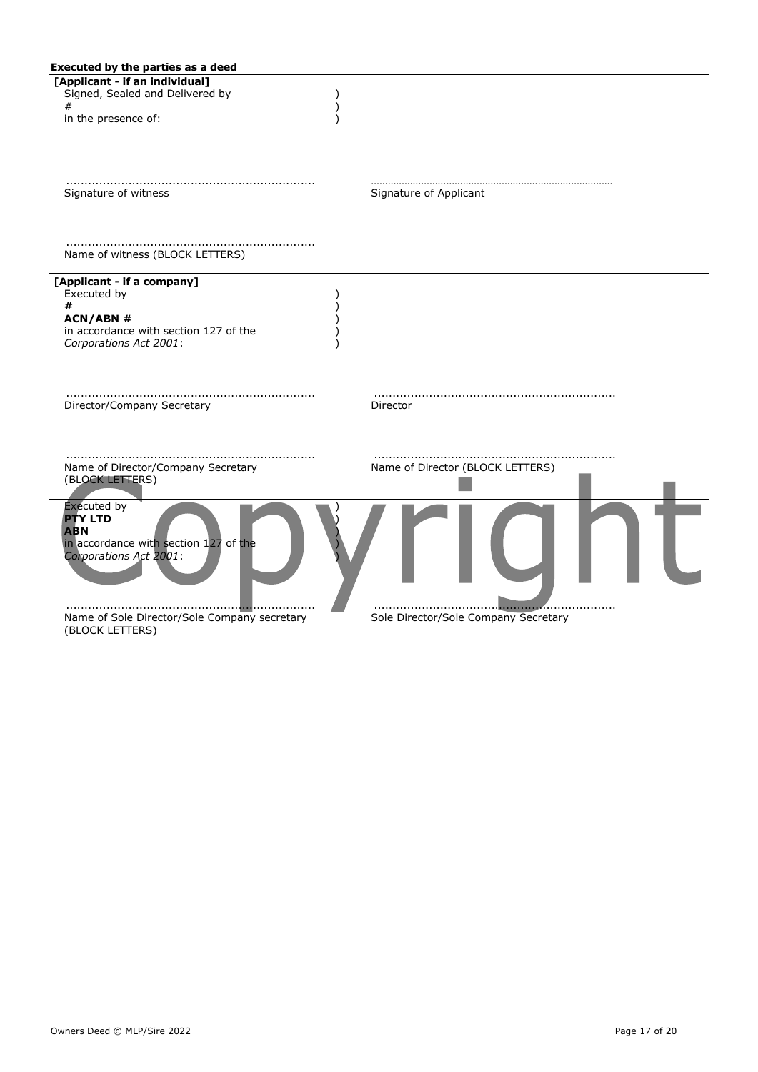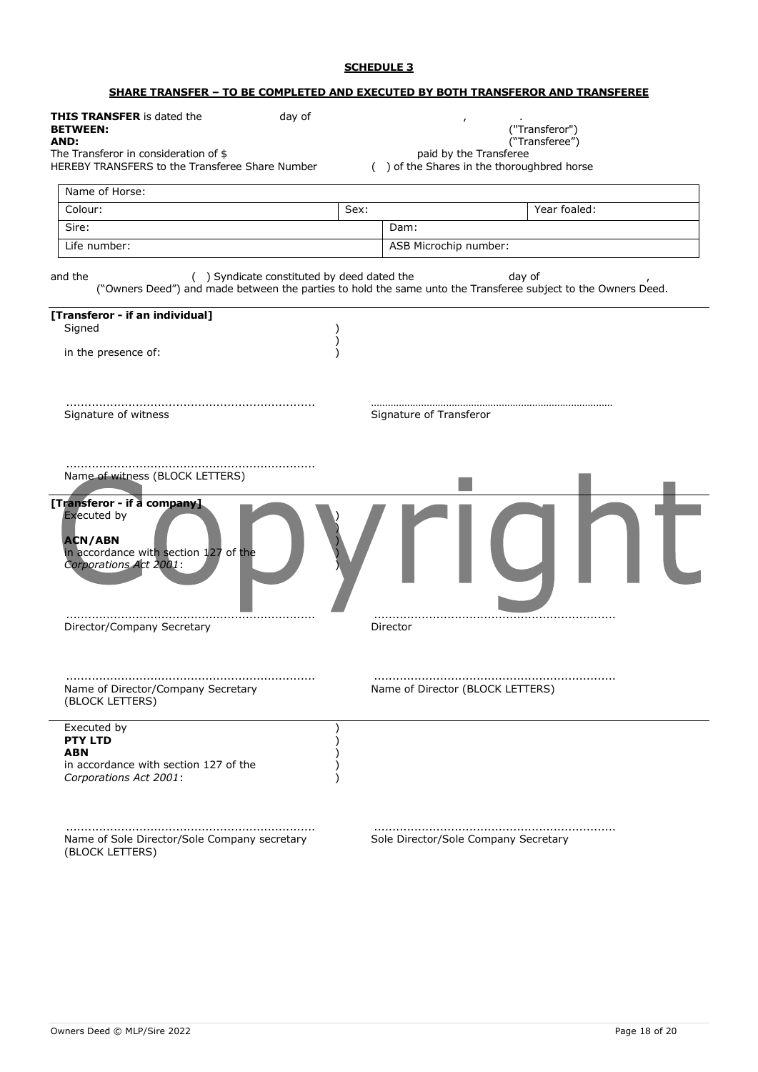### **SCHEDULE 3**

#### **SHARE TRANSFER – TO BE COMPLETED AND EXECUTED BY BOTH TRANSFEROR AND TRANSFEREE**

| <b>THIS TRANSFER</b> is dated the<br>day of<br><b>BETWEEN:</b><br>AND:<br>The Transferor in consideration of \$<br>HEREBY TRANSFERS to the Transferee Share Number |      | $\mathbf{r}$<br>("Transferor")<br>("Transferee")<br>paid by the Transferee<br>() of the Shares in the thoroughbred horse |
|--------------------------------------------------------------------------------------------------------------------------------------------------------------------|------|--------------------------------------------------------------------------------------------------------------------------|
| Name of Horse:                                                                                                                                                     |      |                                                                                                                          |
| Colour:                                                                                                                                                            | Sex: | Year foaled:                                                                                                             |
| Sire:                                                                                                                                                              |      | Dam:                                                                                                                     |
| Life number:                                                                                                                                                       |      | ASB Microchip number:                                                                                                    |
| and the<br>() Syndicate constituted by deed dated the                                                                                                              |      | day of<br>("Owners Deed") and made between the parties to hold the same unto the Transferee subject to the Owners Deed.  |
| [Transferor - if an individual]<br>Signed                                                                                                                          |      |                                                                                                                          |
| in the presence of:                                                                                                                                                |      |                                                                                                                          |
| Signature of witness                                                                                                                                               |      | Signature of Transferor                                                                                                  |
| Name of witness (BLOCK LETTERS)                                                                                                                                    |      |                                                                                                                          |
| [Transferor - if a company]<br><b>Executed by</b><br><b>ACN/ABN</b><br>in accordance with section 127 of the<br>Corporations Act 2001:                             |      |                                                                                                                          |
| Director/Company Secretary                                                                                                                                         |      | Director                                                                                                                 |
| Name of Director/Company Secretary<br>(BLOCK LETTERS)                                                                                                              |      | Name of Director (BLOCK LETTERS)                                                                                         |
| Executed by<br><b>PTY LTD</b><br>ABN<br>in accordance with section 127 of the<br>Corporations Act 2001:                                                            |      |                                                                                                                          |
| Name of Sole Director/Sole Company secretary<br>(BLOCK LETTERS)                                                                                                    |      | Sole Director/Sole Company Secretary                                                                                     |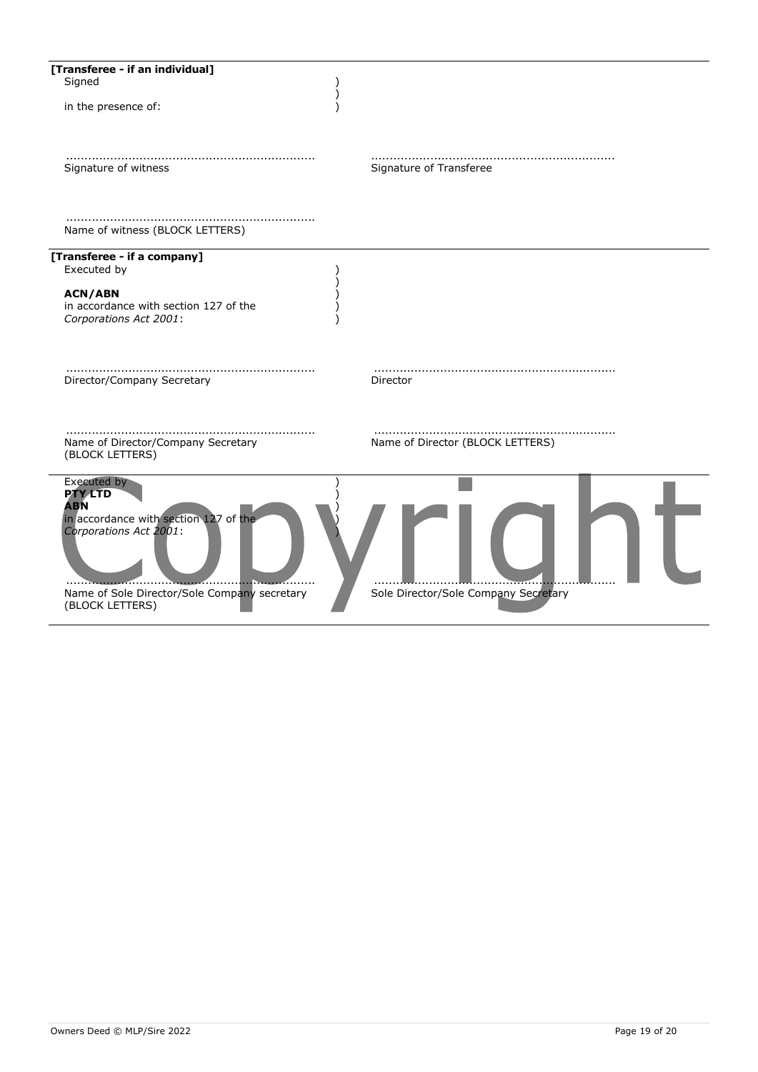| [Transferee - if an individual]<br>Signed<br>in the presence of:                                                                                                                  |                                      |
|-----------------------------------------------------------------------------------------------------------------------------------------------------------------------------------|--------------------------------------|
| Signature of witness                                                                                                                                                              | Signature of Transferee              |
| Name of witness (BLOCK LETTERS)                                                                                                                                                   |                                      |
| [Transferee - if a company]<br>Executed by<br><b>ACN/ABN</b><br>in accordance with section 127 of the<br>Corporations Act 2001:                                                   |                                      |
| Director/Company Secretary                                                                                                                                                        | Director                             |
| Name of Director/Company Secretary<br>(BLOCK LETTERS)                                                                                                                             | Name of Director (BLOCK LETTERS)     |
| Executed by<br><b>PTY LTD</b><br><b>ABN</b><br>in accordance with section 127 of the<br>Corporations Act 2001:<br>Name of Sole Director/Sole Company secretary<br>(BLOCK LETTERS) | Sole Director/Sole Company Secretary |